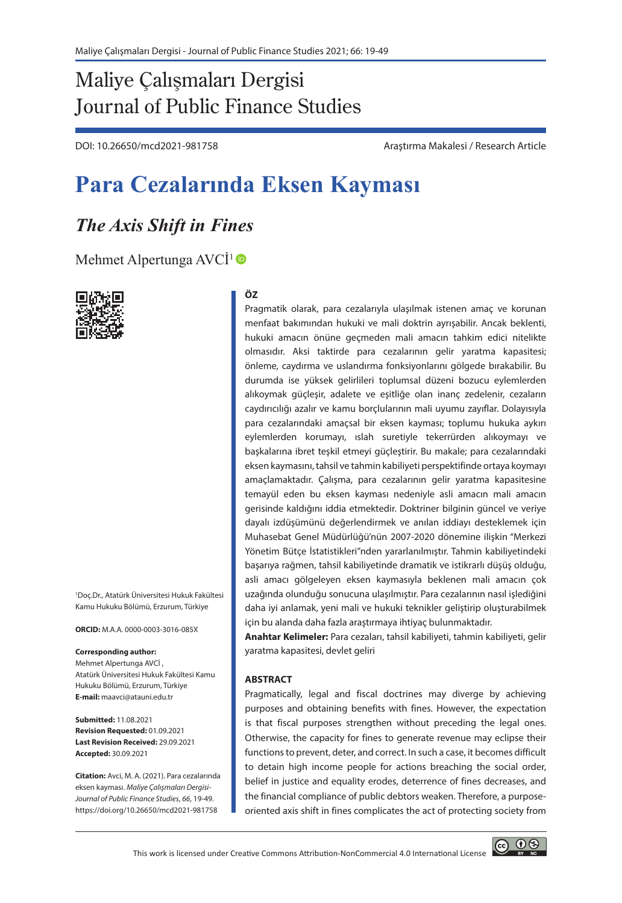# Maliye Çalışmaları Dergisi Journal of Public Finance Studies

DOI: 10.26650/mcd2021-981758 Araştırma Makalesi / Research Article

# **Para Cezalarında Eksen Kayması**

# *The Axis Shift in Fines*

[Mehmet Alpertunga AVCİ](https://orcid.org/0000-0003-3016-085X)<sup>1</sup>



1 Doç.Dr., Atatürk Üniversitesi Hukuk Fakültesi Kamu Hukuku Bölümü, Erzurum, Türkiye

**ORCID:** M.A.A. 0000-0003-3016-085X

#### **Corresponding author:**

Mehmet Alpertunga AVCİ , Atatürk Üniversitesi Hukuk Fakültesi Kamu Hukuku Bölümü, Erzurum, Türkiye **E-mail:** maavci@atauni.edu.tr

**Submitted:** 11.08.2021 **Revision Requested:** 01.09.2021 **Last Revision Received:** 29.09.2021 **Accepted:** 30.09.2021

**Citation:** Avci, M. A. (2021). Para cezalarında eksen kayması. *Maliye Çalışmaları Dergisi-Journal of Public Finance Studies*, *66*, 19-49. https://doi.org/10.26650/mcd2021-981758

#### **ÖZ**

Pragmatik olarak, para cezalarıyla ulaşılmak istenen amaç ve korunan menfaat bakımından hukuki ve mali doktrin ayrışabilir. Ancak beklenti, hukuki amacın önüne geçmeden mali amacın tahkim edici nitelikte olmasıdır. Aksi taktirde para cezalarının gelir yaratma kapasitesi; önleme, caydırma ve uslandırma fonksiyonlarını gölgede bırakabilir. Bu durumda ise yüksek gelirlileri toplumsal düzeni bozucu eylemlerden alıkoymak güçleşir, adalete ve eşitliğe olan inanç zedelenir, cezaların caydırıcılığı azalır ve kamu borçlularının mali uyumu zayıflar. Dolayısıyla para cezalarındaki amaçsal bir eksen kayması; toplumu hukuka aykırı eylemlerden korumayı, ıslah suretiyle tekerrürden alıkoymayı ve başkalarına ibret teşkil etmeyi güçleştirir. Bu makale; para cezalarındaki eksen kaymasını, tahsil ve tahmin kabiliyeti perspektifinde ortaya koymayı amaçlamaktadır. Çalışma, para cezalarının gelir yaratma kapasitesine temayül eden bu eksen kayması nedeniyle asli amacın mali amacın gerisinde kaldığını iddia etmektedir. Doktriner bilginin güncel ve veriye dayalı izdüşümünü değerlendirmek ve anılan iddiayı desteklemek için Muhasebat Genel Müdürlüğü'nün 2007-2020 dönemine ilişkin "Merkezi Yönetim Bütçe İstatistikleri"nden yararlanılmıştır. Tahmin kabiliyetindeki başarıya rağmen, tahsil kabiliyetinde dramatik ve istikrarlı düşüş olduğu, asli amacı gölgeleyen eksen kaymasıyla beklenen mali amacın çok uzağında olunduğu sonucuna ulaşılmıştır. Para cezalarının nasıl işlediğini daha iyi anlamak, yeni mali ve hukuki teknikler geliştirip oluşturabilmek için bu alanda daha fazla araştırmaya ihtiyaç bulunmaktadır.

**Anahtar Kelimeler:** Para cezaları, tahsil kabiliyeti, tahmin kabiliyeti, gelir yaratma kapasitesi, devlet geliri

#### **ABSTRACT**

Pragmatically, legal and fiscal doctrines may diverge by achieving purposes and obtaining benefits with fines. However, the expectation is that fiscal purposes strengthen without preceding the legal ones. Otherwise, the capacity for fines to generate revenue may eclipse their functions to prevent, deter, and correct. In such a case, it becomes difficult to detain high income people for actions breaching the social order, belief in justice and equality erodes, deterrence of fines decreases, and the financial compliance of public debtors weaken. Therefore, a purposeoriented axis shift in fines complicates the act of protecting society from

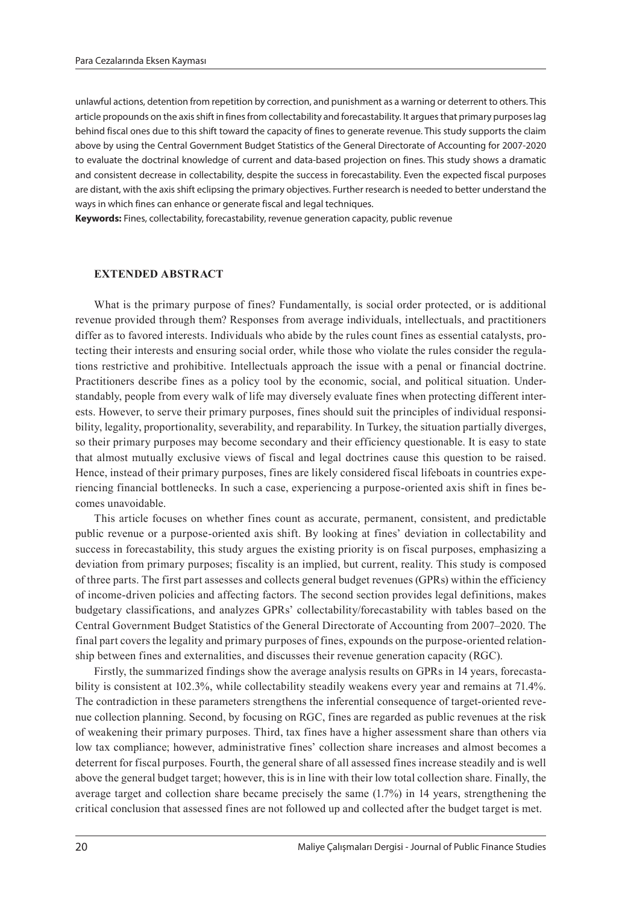unlawful actions, detention from repetition by correction, and punishment as a warning or deterrent to others. This article propounds on the axis shift in fines from collectability and forecastability. It argues that primary purposes lag behind fiscal ones due to this shift toward the capacity of fines to generate revenue. This study supports the claim above by using the Central Government Budget Statistics of the General Directorate of Accounting for 2007-2020 to evaluate the doctrinal knowledge of current and data-based projection on fines. This study shows a dramatic and consistent decrease in collectability, despite the success in forecastability. Even the expected fiscal purposes are distant, with the axis shift eclipsing the primary objectives. Further research is needed to better understand the ways in which fines can enhance or generate fiscal and legal techniques.

**Keywords:** Fines, collectability, forecastability, revenue generation capacity, public revenue

#### **EXTENDED ABSTRACT**

What is the primary purpose of fines? Fundamentally, is social order protected, or is additional revenue provided through them? Responses from average individuals, intellectuals, and practitioners differ as to favored interests. Individuals who abide by the rules count fines as essential catalysts, protecting their interests and ensuring social order, while those who violate the rules consider the regulations restrictive and prohibitive. Intellectuals approach the issue with a penal or financial doctrine. Practitioners describe fines as a policy tool by the economic, social, and political situation. Understandably, people from every walk of life may diversely evaluate fines when protecting different interests. However, to serve their primary purposes, fines should suit the principles of individual responsibility, legality, proportionality, severability, and reparability. In Turkey, the situation partially diverges, so their primary purposes may become secondary and their efficiency questionable. It is easy to state that almost mutually exclusive views of fiscal and legal doctrines cause this question to be raised. Hence, instead of their primary purposes, fines are likely considered fiscal lifeboats in countries experiencing financial bottlenecks. In such a case, experiencing a purpose-oriented axis shift in fines becomes unavoidable.

This article focuses on whether fines count as accurate, permanent, consistent, and predictable public revenue or a purpose-oriented axis shift. By looking at fines' deviation in collectability and success in forecastability, this study argues the existing priority is on fiscal purposes, emphasizing a deviation from primary purposes; fiscality is an implied, but current, reality. This study is composed of three parts. The first part assesses and collects general budget revenues (GPRs) within the efficiency of income-driven policies and affecting factors. The second section provides legal definitions, makes budgetary classifications, and analyzes GPRs' collectability/forecastability with tables based on the Central Government Budget Statistics of the General Directorate of Accounting from 2007–2020. The final part covers the legality and primary purposes of fines, expounds on the purpose-oriented relationship between fines and externalities, and discusses their revenue generation capacity (RGC).

Firstly, the summarized findings show the average analysis results on GPRs in 14 years, forecastability is consistent at 102.3%, while collectability steadily weakens every year and remains at 71.4%. The contradiction in these parameters strengthens the inferential consequence of target-oriented revenue collection planning. Second, by focusing on RGC, fines are regarded as public revenues at the risk of weakening their primary purposes. Third, tax fines have a higher assessment share than others via low tax compliance; however, administrative fines' collection share increases and almost becomes a deterrent for fiscal purposes. Fourth, the general share of all assessed fines increase steadily and is well above the general budget target; however, this is in line with their low total collection share. Finally, the average target and collection share became precisely the same (1.7%) in 14 years, strengthening the critical conclusion that assessed fines are not followed up and collected after the budget target is met.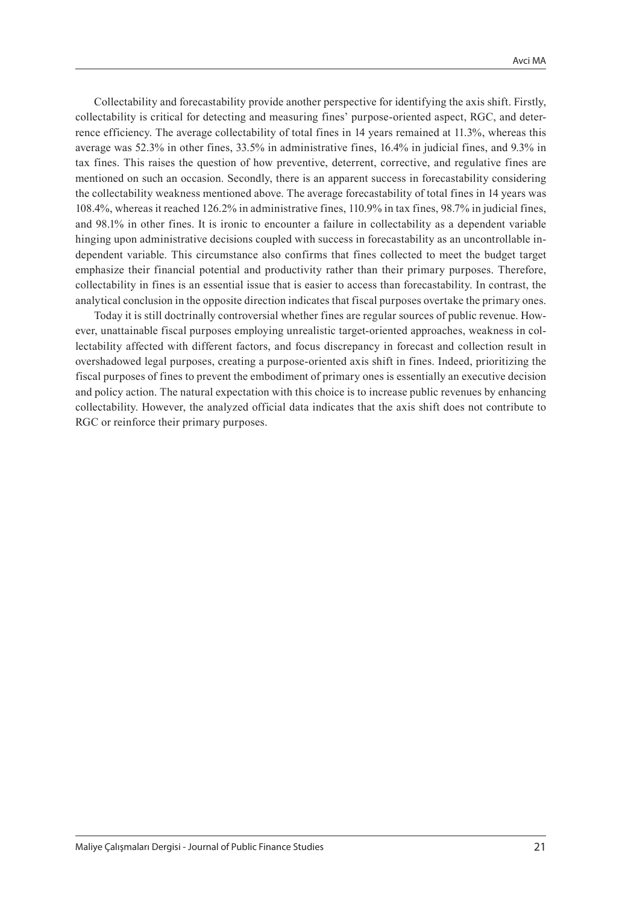Collectability and forecastability provide another perspective for identifying the axis shift. Firstly, collectability is critical for detecting and measuring fines' purpose-oriented aspect, RGC, and deterrence efficiency. The average collectability of total fines in 14 years remained at 11.3%, whereas this average was 52.3% in other fines, 33.5% in administrative fines, 16.4% in judicial fines, and 9.3% in tax fines. This raises the question of how preventive, deterrent, corrective, and regulative fines are mentioned on such an occasion. Secondly, there is an apparent success in forecastability considering the collectability weakness mentioned above. The average forecastability of total fines in 14 years was 108.4%, whereas it reached 126.2% in administrative fines, 110.9% in tax fines, 98.7% in judicial fines, and 98.1% in other fines. It is ironic to encounter a failure in collectability as a dependent variable hinging upon administrative decisions coupled with success in forecastability as an uncontrollable independent variable. This circumstance also confirms that fines collected to meet the budget target emphasize their financial potential and productivity rather than their primary purposes. Therefore, collectability in fines is an essential issue that is easier to access than forecastability. In contrast, the analytical conclusion in the opposite direction indicates that fiscal purposes overtake the primary ones.

Today it is still doctrinally controversial whether fines are regular sources of public revenue. However, unattainable fiscal purposes employing unrealistic target-oriented approaches, weakness in collectability affected with different factors, and focus discrepancy in forecast and collection result in overshadowed legal purposes, creating a purpose-oriented axis shift in fines. Indeed, prioritizing the fiscal purposes of fines to prevent the embodiment of primary ones is essentially an executive decision and policy action. The natural expectation with this choice is to increase public revenues by enhancing collectability. However, the analyzed official data indicates that the axis shift does not contribute to RGC or reinforce their primary purposes.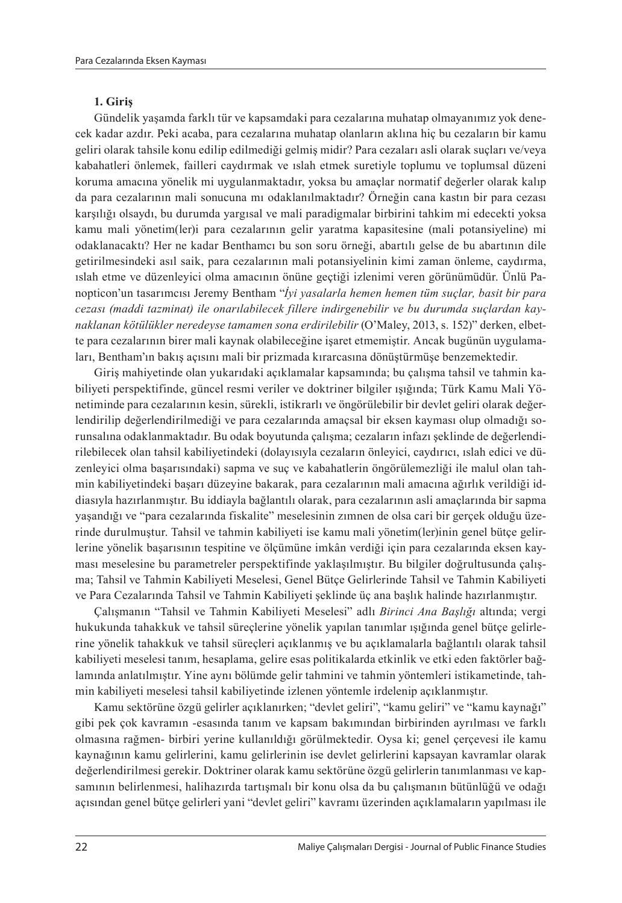#### **1. Giriş**

Gündelik yaşamda farklı tür ve kapsamdaki para cezalarına muhatap olmayanımız yok denecek kadar azdır. Peki acaba, para cezalarına muhatap olanların aklına hiç bu cezaların bir kamu geliri olarak tahsile konu edilip edilmediği gelmiş midir? Para cezaları asli olarak suçları ve/veya kabahatleri önlemek, failleri caydırmak ve ıslah etmek suretiyle toplumu ve toplumsal düzeni koruma amacına yönelik mi uygulanmaktadır, yoksa bu amaçlar normatif değerler olarak kalıp da para cezalarının mali sonucuna mı odaklanılmaktadır? Örneğin cana kastın bir para cezası karşılığı olsaydı, bu durumda yargısal ve mali paradigmalar birbirini tahkim mi edecekti yoksa kamu mali yönetim(ler)i para cezalarının gelir yaratma kapasitesine (mali potansiyeline) mi odaklanacaktı? Her ne kadar Benthamcı bu son soru örneği, abartılı gelse de bu abartının dile getirilmesindeki asıl saik, para cezalarının mali potansiyelinin kimi zaman önleme, caydırma, ıslah etme ve düzenleyici olma amacının önüne geçtiği izlenimi veren görünümüdür. Ünlü Panopticon'un tasarımcısı Jeremy Bentham "*İyi yasalarla hemen hemen tüm suçlar, basit bir para cezası (maddi tazminat) ile onarılabilecek fillere indirgenebilir ve bu durumda suçlardan kaynaklanan kötülükler neredeyse tamamen sona erdirilebilir* (O'Maley, 2013, s. 152)" derken, elbette para cezalarının birer mali kaynak olabileceğine işaret etmemiştir. Ancak bugünün uygulamaları, Bentham'ın bakış açısını mali bir prizmada kırarcasına dönüştürmüşe benzemektedir.

Giriş mahiyetinde olan yukarıdaki açıklamalar kapsamında; bu çalışma tahsil ve tahmin kabiliyeti perspektifinde, güncel resmi veriler ve doktriner bilgiler ışığında; Türk Kamu Mali Yönetiminde para cezalarının kesin, sürekli, istikrarlı ve öngörülebilir bir devlet geliri olarak değerlendirilip değerlendirilmediği ve para cezalarında amaçsal bir eksen kayması olup olmadığı sorunsalına odaklanmaktadır. Bu odak boyutunda çalışma; cezaların infazı şeklinde de değerlendirilebilecek olan tahsil kabiliyetindeki (dolayısıyla cezaların önleyici, caydırıcı, ıslah edici ve düzenleyici olma başarısındaki) sapma ve suç ve kabahatlerin öngörülemezliği ile malul olan tahmin kabiliyetindeki başarı düzeyine bakarak, para cezalarının mali amacına ağırlık verildiği iddiasıyla hazırlanmıştır. Bu iddiayla bağlantılı olarak, para cezalarının asli amaçlarında bir sapma yaşandığı ve "para cezalarında fiskalite" meselesinin zımnen de olsa cari bir gerçek olduğu üzerinde durulmuştur. Tahsil ve tahmin kabiliyeti ise kamu mali yönetim(ler)inin genel bütçe gelirlerine yönelik başarısının tespitine ve ölçümüne imkân verdiği için para cezalarında eksen kayması meselesine bu parametreler perspektifinde yaklaşılmıştır. Bu bilgiler doğrultusunda çalışma; Tahsil ve Tahmin Kabiliyeti Meselesi, Genel Bütçe Gelirlerinde Tahsil ve Tahmin Kabiliyeti ve Para Cezalarında Tahsil ve Tahmin Kabiliyeti şeklinde üç ana başlık halinde hazırlanmıştır.

Çalışmanın "Tahsil ve Tahmin Kabiliyeti Meselesi" adlı *Birinci Ana Başlığı* altında; vergi hukukunda tahakkuk ve tahsil süreçlerine yönelik yapılan tanımlar ışığında genel bütçe gelirlerine yönelik tahakkuk ve tahsil süreçleri açıklanmış ve bu açıklamalarla bağlantılı olarak tahsil kabiliyeti meselesi tanım, hesaplama, gelire esas politikalarda etkinlik ve etki eden faktörler bağlamında anlatılmıştır. Yine aynı bölümde gelir tahmini ve tahmin yöntemleri istikametinde, tahmin kabiliyeti meselesi tahsil kabiliyetinde izlenen yöntemle irdelenip açıklanmıştır.

Kamu sektörüne özgü gelirler açıklanırken; "devlet geliri", "kamu geliri" ve "kamu kaynağı" gibi pek çok kavramın -esasında tanım ve kapsam bakımından birbirinden ayrılması ve farklı olmasına rağmen- birbiri yerine kullanıldığı görülmektedir. Oysa ki; genel çerçevesi ile kamu kaynağının kamu gelirlerini, kamu gelirlerinin ise devlet gelirlerini kapsayan kavramlar olarak değerlendirilmesi gerekir. Doktriner olarak kamu sektörüne özgü gelirlerin tanımlanması ve kapsamının belirlenmesi, halihazırda tartışmalı bir konu olsa da bu çalışmanın bütünlüğü ve odağı açısından genel bütçe gelirleri yani "devlet geliri" kavramı üzerinden açıklamaların yapılması ile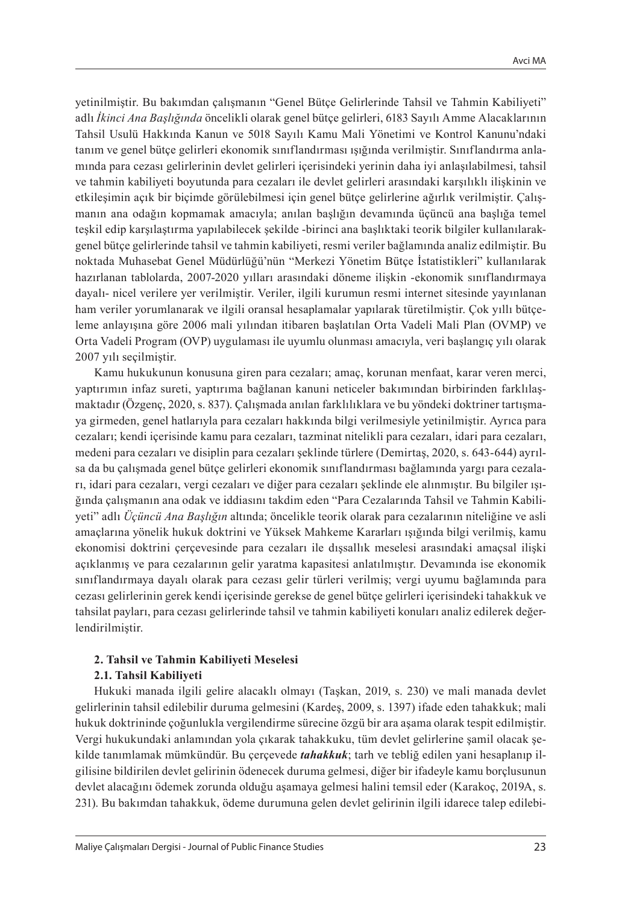yetinilmiştir. Bu bakımdan çalışmanın "Genel Bütçe Gelirlerinde Tahsil ve Tahmin Kabiliyeti" adlı *İkinci Ana Başlığında* öncelikli olarak genel bütçe gelirleri, 6183 Sayılı Amme Alacaklarının Tahsil Usulü Hakkında Kanun ve 5018 Sayılı Kamu Mali Yönetimi ve Kontrol Kanunu'ndaki tanım ve genel bütçe gelirleri ekonomik sınıflandırması ışığında verilmiştir. Sınıflandırma anlamında para cezası gelirlerinin devlet gelirleri içerisindeki yerinin daha iyi anlaşılabilmesi, tahsil ve tahmin kabiliyeti boyutunda para cezaları ile devlet gelirleri arasındaki karşılıklı ilişkinin ve etkileşimin açık bir biçimde görülebilmesi için genel bütçe gelirlerine ağırlık verilmiştir. Çalışmanın ana odağın kopmamak amacıyla; anılan başlığın devamında üçüncü ana başlığa temel teşkil edip karşılaştırma yapılabilecek şekilde -birinci ana başlıktaki teorik bilgiler kullanılarakgenel bütçe gelirlerinde tahsil ve tahmin kabiliyeti, resmi veriler bağlamında analiz edilmiştir. Bu noktada Muhasebat Genel Müdürlüğü'nün "Merkezi Yönetim Bütçe İstatistikleri" kullanılarak hazırlanan tablolarda, 2007-2020 yılları arasındaki döneme ilişkin -ekonomik sınıflandırmaya dayalı- nicel verilere yer verilmiştir. Veriler, ilgili kurumun resmi internet sitesinde yayınlanan ham veriler yorumlanarak ve ilgili oransal hesaplamalar yapılarak türetilmiştir. Çok yıllı bütçeleme anlayışına göre 2006 mali yılından itibaren başlatılan Orta Vadeli Mali Plan (OVMP) ve Orta Vadeli Program (OVP) uygulaması ile uyumlu olunması amacıyla, veri başlangıç yılı olarak 2007 yılı seçilmiştir.

Kamu hukukunun konusuna giren para cezaları; amaç, korunan menfaat, karar veren merci, yaptırımın infaz sureti, yaptırıma bağlanan kanuni neticeler bakımından birbirinden farklılaşmaktadır (Özgenç, 2020, s. 837). Çalışmada anılan farklılıklara ve bu yöndeki doktriner tartışmaya girmeden, genel hatlarıyla para cezaları hakkında bilgi verilmesiyle yetinilmiştir. Ayrıca para cezaları; kendi içerisinde kamu para cezaları, tazminat nitelikli para cezaları, idari para cezaları, medeni para cezaları ve disiplin para cezaları şeklinde türlere (Demirtaş, 2020, s. 643-644) ayrılsa da bu çalışmada genel bütçe gelirleri ekonomik sınıflandırması bağlamında yargı para cezaları, idari para cezaları, vergi cezaları ve diğer para cezaları şeklinde ele alınmıştır. Bu bilgiler ışığında çalışmanın ana odak ve iddiasını takdim eden "Para Cezalarında Tahsil ve Tahmin Kabiliyeti" adlı *Üçüncü Ana Başlığın* altında; öncelikle teorik olarak para cezalarının niteliğine ve asli amaçlarına yönelik hukuk doktrini ve Yüksek Mahkeme Kararları ışığında bilgi verilmiş, kamu ekonomisi doktrini çerçevesinde para cezaları ile dışsallık meselesi arasındaki amaçsal ilişki açıklanmış ve para cezalarının gelir yaratma kapasitesi anlatılmıştır. Devamında ise ekonomik sınıflandırmaya dayalı olarak para cezası gelir türleri verilmiş; vergi uyumu bağlamında para cezası gelirlerinin gerek kendi içerisinde gerekse de genel bütçe gelirleri içerisindeki tahakkuk ve tahsilat payları, para cezası gelirlerinde tahsil ve tahmin kabiliyeti konuları analiz edilerek değerlendirilmiştir.

# **2. Tahsil ve Tahmin Kabiliyeti Meselesi**

### **2.1. Tahsil Kabiliyeti**

Hukuki manada ilgili gelire alacaklı olmayı (Taşkan, 2019, s. 230) ve mali manada devlet gelirlerinin tahsil edilebilir duruma gelmesini (Kardeş, 2009, s. 1397) ifade eden tahakkuk; mali hukuk doktrininde çoğunlukla vergilendirme sürecine özgü bir ara aşama olarak tespit edilmiştir. Vergi hukukundaki anlamından yola çıkarak tahakkuku, tüm devlet gelirlerine şamil olacak şekilde tanımlamak mümkündür. Bu çerçevede *tahakkuk*; tarh ve tebliğ edilen yani hesaplanıp ilgilisine bildirilen devlet gelirinin ödenecek duruma gelmesi, diğer bir ifadeyle kamu borçlusunun devlet alacağını ödemek zorunda olduğu aşamaya gelmesi halini temsil eder (Karakoç, 2019A, s. 231). Bu bakımdan tahakkuk, ödeme durumuna gelen devlet gelirinin ilgili idarece talep edilebi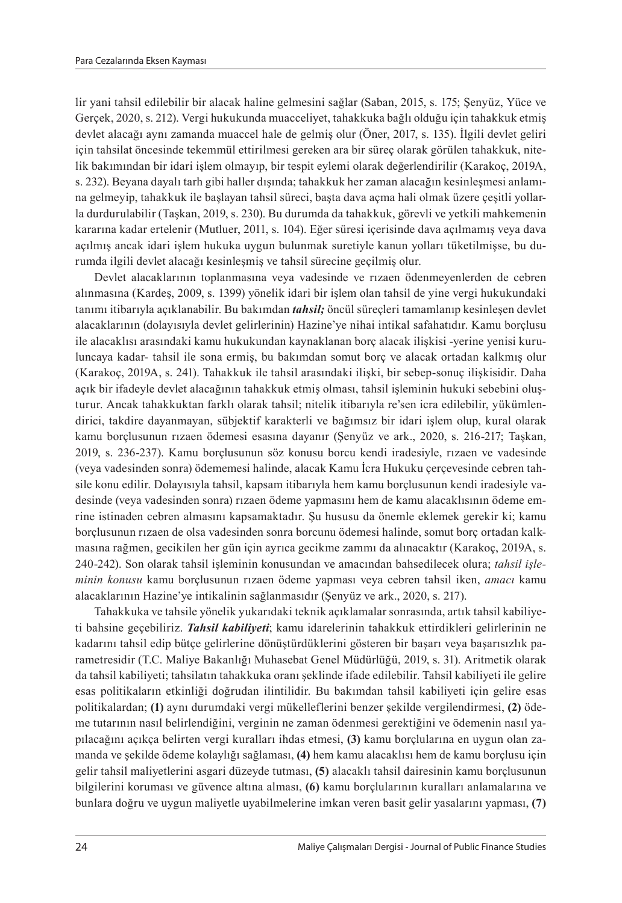lir yani tahsil edilebilir bir alacak haline gelmesini sağlar (Saban, 2015, s. 175; Şenyüz, Yüce ve Gerçek, 2020, s. 212). Vergi hukukunda muacceliyet, tahakkuka bağlı olduğu için tahakkuk etmiş devlet alacağı aynı zamanda muaccel hale de gelmiş olur (Öner, 2017, s. 135). İlgili devlet geliri için tahsilat öncesinde tekemmül ettirilmesi gereken ara bir süreç olarak görülen tahakkuk, nitelik bakımından bir idari işlem olmayıp, bir tespit eylemi olarak değerlendirilir (Karakoç, 2019A, s. 232). Beyana dayalı tarh gibi haller dışında; tahakkuk her zaman alacağın kesinleşmesi anlamına gelmeyip, tahakkuk ile başlayan tahsil süreci, başta dava açma hali olmak üzere çeşitli yollarla durdurulabilir (Taşkan, 2019, s. 230). Bu durumda da tahakkuk, görevli ve yetkili mahkemenin kararına kadar ertelenir (Mutluer, 2011, s. 104). Eğer süresi içerisinde dava açılmamış veya dava açılmış ancak idari işlem hukuka uygun bulunmak suretiyle kanun yolları tüketilmişse, bu durumda ilgili devlet alacağı kesinleşmiş ve tahsil sürecine geçilmiş olur.

Devlet alacaklarının toplanmasına veya vadesinde ve rızaen ödenmeyenlerden de cebren alınmasına (Kardeş, 2009, s. 1399) yönelik idari bir işlem olan tahsil de yine vergi hukukundaki tanımı itibarıyla açıklanabilir. Bu bakımdan *tahsil;* öncül süreçleri tamamlanıp kesinleşen devlet alacaklarının (dolayısıyla devlet gelirlerinin) Hazine'ye nihai intikal safahatıdır. Kamu borçlusu ile alacaklısı arasındaki kamu hukukundan kaynaklanan borç alacak ilişkisi -yerine yenisi kuruluncaya kadar- tahsil ile sona ermiş, bu bakımdan somut borç ve alacak ortadan kalkmış olur (Karakoç, 2019A, s. 241). Tahakkuk ile tahsil arasındaki ilişki, bir sebep-sonuç ilişkisidir. Daha açık bir ifadeyle devlet alacağının tahakkuk etmiş olması, tahsil işleminin hukuki sebebini oluşturur. Ancak tahakkuktan farklı olarak tahsil; nitelik itibarıyla re'sen icra edilebilir, yükümlendirici, takdire dayanmayan, sübjektif karakterli ve bağımsız bir idari işlem olup, kural olarak kamu borçlusunun rızaen ödemesi esasına dayanır (Şenyüz ve ark., 2020, s. 216-217; Taşkan, 2019, s. 236-237). Kamu borçlusunun söz konusu borcu kendi iradesiyle, rızaen ve vadesinde (veya vadesinden sonra) ödememesi halinde, alacak Kamu İcra Hukuku çerçevesinde cebren tahsile konu edilir. Dolayısıyla tahsil, kapsam itibarıyla hem kamu borçlusunun kendi iradesiyle vadesinde (veya vadesinden sonra) rızaen ödeme yapmasını hem de kamu alacaklısının ödeme emrine istinaden cebren almasını kapsamaktadır. Şu hususu da önemle eklemek gerekir ki; kamu borçlusunun rızaen de olsa vadesinden sonra borcunu ödemesi halinde, somut borç ortadan kalkmasına rağmen, gecikilen her gün için ayrıca gecikme zammı da alınacaktır (Karakoç, 2019A, s. 240-242). Son olarak tahsil işleminin konusundan ve amacından bahsedilecek olura; *tahsil işleminin konusu* kamu borçlusunun rızaen ödeme yapması veya cebren tahsil iken, *amacı* kamu alacaklarının Hazine'ye intikalinin sağlanmasıdır (Şenyüz ve ark., 2020, s. 217).

Tahakkuka ve tahsile yönelik yukarıdaki teknik açıklamalar sonrasında, artık tahsil kabiliyeti bahsine geçebiliriz. *Tahsil kabiliyeti*; kamu idarelerinin tahakkuk ettirdikleri gelirlerinin ne kadarını tahsil edip bütçe gelirlerine dönüştürdüklerini gösteren bir başarı veya başarısızlık parametresidir (T.C. Maliye Bakanlığı Muhasebat Genel Müdürlüğü, 2019, s. 31). Aritmetik olarak da tahsil kabiliyeti; tahsilatın tahakkuka oranı şeklinde ifade edilebilir. Tahsil kabiliyeti ile gelire esas politikaların etkinliği doğrudan ilintilidir. Bu bakımdan tahsil kabiliyeti için gelire esas politikalardan; **(1)** aynı durumdaki vergi mükelleflerini benzer şekilde vergilendirmesi, **(2)** ödeme tutarının nasıl belirlendiğini, verginin ne zaman ödenmesi gerektiğini ve ödemenin nasıl yapılacağını açıkça belirten vergi kuralları ihdas etmesi, **(3)** kamu borçlularına en uygun olan zamanda ve şekilde ödeme kolaylığı sağlaması, **(4)** hem kamu alacaklısı hem de kamu borçlusu için gelir tahsil maliyetlerini asgari düzeyde tutması, **(5)** alacaklı tahsil dairesinin kamu borçlusunun bilgilerini koruması ve güvence altına alması, **(6)** kamu borçlularının kuralları anlamalarına ve bunlara doğru ve uygun maliyetle uyabilmelerine imkan veren basit gelir yasalarını yapması, **(7)**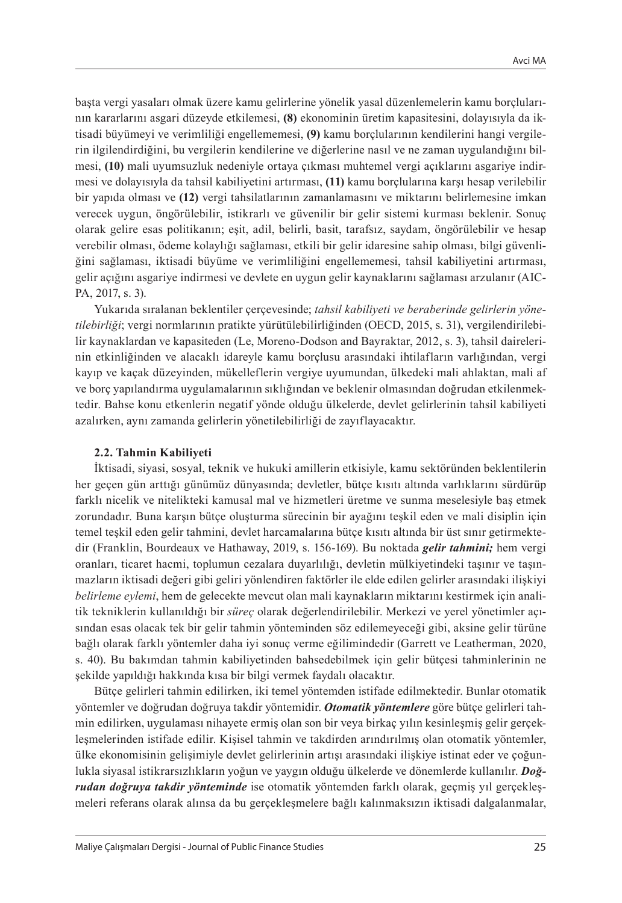başta vergi yasaları olmak üzere kamu gelirlerine yönelik yasal düzenlemelerin kamu borçlularının kararlarını asgari düzeyde etkilemesi, **(8)** ekonominin üretim kapasitesini, dolayısıyla da iktisadi büyümeyi ve verimliliği engellememesi, **(9)** kamu borçlularının kendilerini hangi vergilerin ilgilendirdiğini, bu vergilerin kendilerine ve diğerlerine nasıl ve ne zaman uygulandığını bilmesi, **(10)** mali uyumsuzluk nedeniyle ortaya çıkması muhtemel vergi açıklarını asgariye indirmesi ve dolayısıyla da tahsil kabiliyetini artırması, **(11)** kamu borçlularına karşı hesap verilebilir bir yapıda olması ve **(12)** vergi tahsilatlarının zamanlamasını ve miktarını belirlemesine imkan verecek uygun, öngörülebilir, istikrarlı ve güvenilir bir gelir sistemi kurması beklenir. Sonuç olarak gelire esas politikanın; eşit, adil, belirli, basit, tarafsız, saydam, öngörülebilir ve hesap verebilir olması, ödeme kolaylığı sağlaması, etkili bir gelir idaresine sahip olması, bilgi güvenliğini sağlaması, iktisadi büyüme ve verimliliğini engellememesi, tahsil kabiliyetini artırması, gelir açığını asgariye indirmesi ve devlete en uygun gelir kaynaklarını sağlaması arzulanır (AIC-PA, 2017, s. 3).

Yukarıda sıralanan beklentiler çerçevesinde; *tahsil kabiliyeti ve beraberinde gelirlerin yönetilebirliği*; vergi normlarının pratikte yürütülebilirliğinden (OECD, 2015, s. 31), vergilendirilebilir kaynaklardan ve kapasiteden (Le, Moreno-Dodson and Bayraktar, 2012, s. 3), tahsil dairelerinin etkinliğinden ve alacaklı idareyle kamu borçlusu arasındaki ihtilafların varlığından, vergi kayıp ve kaçak düzeyinden, mükelleflerin vergiye uyumundan, ülkedeki mali ahlaktan, mali af ve borç yapılandırma uygulamalarının sıklığından ve beklenir olmasından doğrudan etkilenmektedir. Bahse konu etkenlerin negatif yönde olduğu ülkelerde, devlet gelirlerinin tahsil kabiliyeti azalırken, aynı zamanda gelirlerin yönetilebilirliği de zayıflayacaktır.

#### **2.2. Tahmin Kabiliyeti**

İktisadi, siyasi, sosyal, teknik ve hukuki amillerin etkisiyle, kamu sektöründen beklentilerin her geçen gün arttığı günümüz dünyasında; devletler, bütçe kısıtı altında varlıklarını sürdürüp farklı nicelik ve nitelikteki kamusal mal ve hizmetleri üretme ve sunma meselesiyle baş etmek zorundadır. Buna karşın bütçe oluşturma sürecinin bir ayağını teşkil eden ve mali disiplin için temel teşkil eden gelir tahmini, devlet harcamalarına bütçe kısıtı altında bir üst sınır getirmektedir (Franklin, Bourdeaux ve Hathaway, 2019, s. 156-169). Bu noktada *gelir tahmini;* hem vergi oranları, ticaret hacmi, toplumun cezalara duyarlılığı, devletin mülkiyetindeki taşınır ve taşınmazların iktisadi değeri gibi geliri yönlendiren faktörler ile elde edilen gelirler arasındaki ilişkiyi *belirleme eylemi*, hem de gelecekte mevcut olan mali kaynakların miktarını kestirmek için analitik tekniklerin kullanıldığı bir *süreç* olarak değerlendirilebilir. Merkezi ve yerel yönetimler açısından esas olacak tek bir gelir tahmin yönteminden söz edilemeyeceği gibi, aksine gelir türüne bağlı olarak farklı yöntemler daha iyi sonuç verme eğilimindedir (Garrett ve Leatherman, 2020, s. 40). Bu bakımdan tahmin kabiliyetinden bahsedebilmek için gelir bütçesi tahminlerinin ne şekilde yapıldığı hakkında kısa bir bilgi vermek faydalı olacaktır.

Bütçe gelirleri tahmin edilirken, iki temel yöntemden istifade edilmektedir. Bunlar otomatik yöntemler ve doğrudan doğruya takdir yöntemidir. *Otomatik yöntemlere* göre bütçe gelirleri tahmin edilirken, uygulaması nihayete ermiş olan son bir veya birkaç yılın kesinleşmiş gelir gerçekleşmelerinden istifade edilir. Kişisel tahmin ve takdirden arındırılmış olan otomatik yöntemler, ülke ekonomisinin gelişimiyle devlet gelirlerinin artışı arasındaki ilişkiye istinat eder ve çoğunlukla siyasal istikrarsızlıkların yoğun ve yaygın olduğu ülkelerde ve dönemlerde kullanılır. *Doğrudan doğruya takdir yönteminde* ise otomatik yöntemden farklı olarak, geçmiş yıl gerçekleşmeleri referans olarak alınsa da bu gerçekleşmelere bağlı kalınmaksızın iktisadi dalgalanmalar,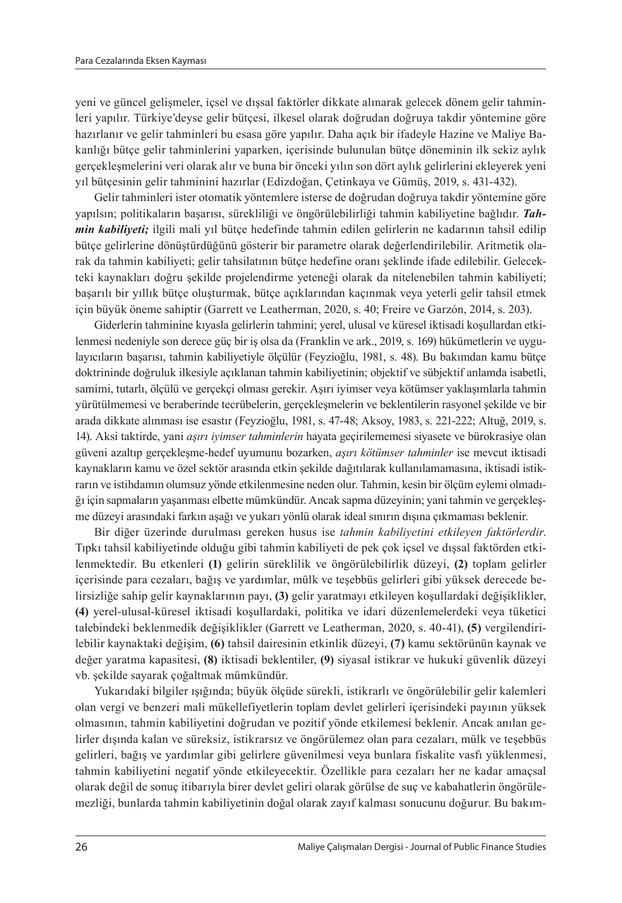yeni ve güncel gelişmeler, i̇çsel ve dışsal faktörler dikkate alınarak gelecek dönem gelir tahminleri yapılır. Türkiye'deyse gelir bütçesi, ilkesel olarak doğrudan doğruya takdir yöntemine göre hazırlanır ve gelir tahminleri bu esasa göre yapılır. Daha açık bir ifadeyle Hazine ve Maliye Bakanlığı bütçe gelir tahminlerini yaparken, içerisinde bulunulan bütçe döneminin ilk sekiz aylık gerçekleşmelerini veri olarak alır ve buna bir önceki yılın son dört aylık gelirlerini ekleyerek yeni yıl bütçesinin gelir tahminini hazırlar (Edizdoğan, Çetinkaya ve Gümüş, 2019, s. 431-432).

Gelir tahminleri ister otomatik yöntemlere isterse de doğrudan doğruya takdir yöntemine göre yapılsın; politikaların başarısı, sürekliliği ve öngörülebilirliği tahmin kabiliyetine bağlıdır. *Tahmin kabiliyeti;* ilgili mali yıl bütçe hedefinde tahmin edilen gelirlerin ne kadarının tahsil edilip bütçe gelirlerine dönüştürdüğünü gösterir bir parametre olarak değerlendirilebilir. Aritmetik olarak da tahmin kabiliyeti; gelir tahsilatının bütçe hedefine oranı şeklinde ifade edilebilir. Gelecekteki kaynakları doğru şekilde projelendirme yeteneği olarak da nitelenebilen tahmin kabiliyeti; başarılı bir yıllık bütçe oluşturmak, bütçe açıklarından kaçınmak veya yeterli gelir tahsil etmek için büyük öneme sahiptir (Garrett ve Leatherman, 2020, s. 40; Freire ve Garzón, 2014, s. 203).

Giderlerin tahminine kıyasla gelirlerin tahmini; yerel, ulusal ve küresel iktisadi koşullardan etkilenmesi nedeniyle son derece güç bir iş olsa da (Franklin ve ark., 2019, s. 169) hükümetlerin ve uygulayıcıların başarısı, tahmin kabiliyetiyle ölçülür (Feyzioğlu, 1981, s. 48). Bu bakımdan kamu bütçe doktrininde doğruluk ilkesiyle açıklanan tahmin kabiliyetinin; objektif ve sübjektif anlamda isabetli, samimi, tutarlı, ölçülü ve gerçekçi olması gerekir. Aşırı iyimser veya kötümser yaklaşımlarla tahmin yürütülmemesi ve beraberinde tecrübelerin, gerçekleşmelerin ve beklentilerin rasyonel şekilde ve bir arada dikkate alınması ise esastır (Feyzioğlu, 1981, s. 47-48; Aksoy, 1983, s. 221-222; Altuğ, 2019, s. 14). Aksi taktirde, yani *aşırı iyimser tahminlerin* hayata geçirilememesi siyasete ve bürokrasiye olan güveni azaltıp gerçekleşme-hedef uyumunu bozarken, *aşırı kötümser tahminler* ise mevcut iktisadi kaynakların kamu ve özel sektör arasında etkin şekilde dağıtılarak kullanılamamasına, iktisadi istikrarın ve istihdamın olumsuz yönde etkilenmesine neden olur. Tahmin, kesin bir ölçüm eylemi olmadığı için sapmaların yaşanması elbette mümkündür. Ancak sapma düzeyinin; yani tahmin ve gerçekleşme düzeyi arasındaki farkın aşağı ve yukarı yönlü olarak ideal sınırın dışına çıkmaması beklenir.

Bir diğer üzerinde durulması gereken husus ise *tahmin kabiliyetini etkileyen faktörlerdir*. Tıpkı tahsil kabiliyetinde olduğu gibi tahmin kabiliyeti de pek çok içsel ve dışsal faktörden etkilenmektedir. Bu etkenleri **(1)** gelirin süreklilik ve öngörülebilirlik düzeyi, **(2)** toplam gelirler içerisinde para cezaları, bağış ve yardımlar, mülk ve teşebbüs gelirleri gibi yüksek derecede belirsizliğe sahip gelir kaynaklarının payı, **(3)** gelir yaratmayı etkileyen koşullardaki değişiklikler, **(4)** yerel-ulusal-küresel iktisadi koşullardaki, politika ve idari düzenlemelerdeki veya tüketici talebindeki beklenmedik değişiklikler (Garrett ve Leatherman, 2020, s. 40-41), **(5)** vergilendirilebilir kaynaktaki değişim, **(6)** tahsil dairesinin etkinlik düzeyi, **(7)** kamu sektörünün kaynak ve değer yaratma kapasitesi, **(8)** iktisadi beklentiler, **(9)** siyasal istikrar ve hukuki güvenlik düzeyi vb. şekilde sayarak çoğaltmak mümkündür.

Yukarıdaki bilgiler ışığında; büyük ölçüde sürekli, istikrarlı ve öngörülebilir gelir kalemleri olan vergi ve benzeri mali mükellefiyetlerin toplam devlet gelirleri içerisindeki payının yüksek olmasının, tahmin kabiliyetini doğrudan ve pozitif yönde etkilemesi beklenir. Ancak anılan gelirler dışında kalan ve süreksiz, istikrarsız ve öngörülemez olan para cezaları, mülk ve teşebbüs gelirleri, bağış ve yardımlar gibi gelirlere güvenilmesi veya bunlara fiskalite vasfı yüklenmesi, tahmin kabiliyetini negatif yönde etkileyecektir. Özellikle para cezaları her ne kadar amaçsal olarak değil de sonuç itibarıyla birer devlet geliri olarak görülse de suç ve kabahatlerin öngörülemezliği, bunlarda tahmin kabiliyetinin doğal olarak zayıf kalması sonucunu doğurur. Bu bakım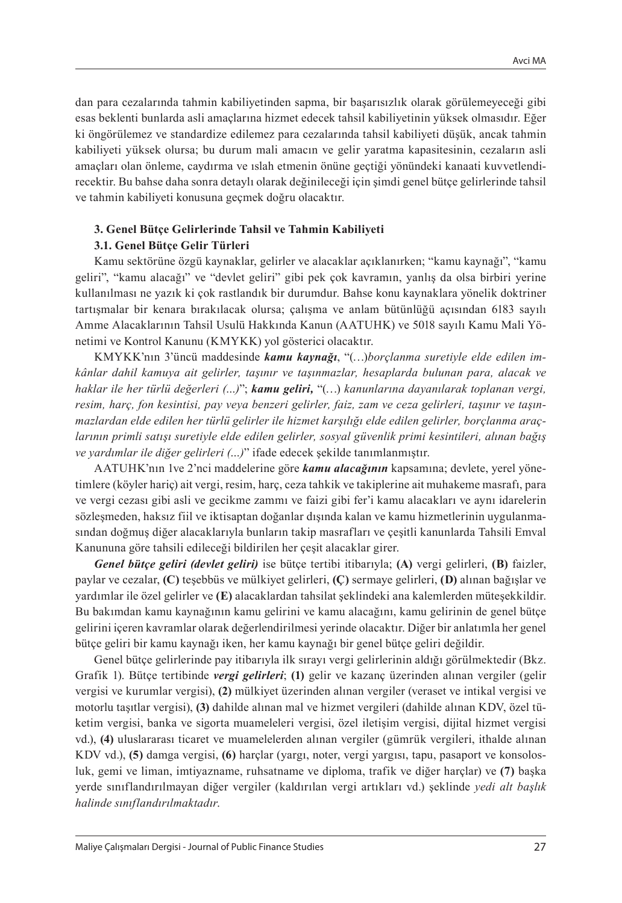dan para cezalarında tahmin kabiliyetinden sapma, bir başarısızlık olarak görülemeyeceği gibi esas beklenti bunlarda asli amaçlarına hizmet edecek tahsil kabiliyetinin yüksek olmasıdır. Eğer ki öngörülemez ve standardize edilemez para cezalarında tahsil kabiliyeti düşük, ancak tahmin kabiliyeti yüksek olursa; bu durum mali amacın ve gelir yaratma kapasitesinin, cezaların asli amaçları olan önleme, caydırma ve ıslah etmenin önüne geçtiği yönündeki kanaati kuvvetlendirecektir. Bu bahse daha sonra detaylı olarak değinileceği için şimdi genel bütçe gelirlerinde tahsil ve tahmin kabiliyeti konusuna geçmek doğru olacaktır.

#### **3. Genel Bütçe Gelirlerinde Tahsil ve Tahmin Kabiliyeti**

#### **3.1. Genel Bütçe Gelir Türleri**

Kamu sektörüne özgü kaynaklar, gelirler ve alacaklar açıklanırken; "kamu kaynağı", "kamu geliri", "kamu alacağı" ve "devlet geliri" gibi pek çok kavramın, yanlış da olsa birbiri yerine kullanılması ne yazık ki çok rastlandık bir durumdur. Bahse konu kaynaklara yönelik doktriner tartışmalar bir kenara bırakılacak olursa; çalışma ve anlam bütünlüğü açısından 6183 sayılı Amme Alacaklarının Tahsil Usulü Hakkında Kanun (AATUHK) ve 5018 sayılı Kamu Mali Yönetimi ve Kontrol Kanunu (KMYKK) yol gösterici olacaktır.

KMYKK'nın 3'üncü maddesinde *kamu kaynağı*, "(…)*borçlanma suretiyle elde edilen imkânlar dahil kamuya ait gelirler, taşınır ve taşınmazlar, hesaplarda bulunan para, alacak ve haklar ile her türlü değerleri (…)*"; *kamu geliri,* "(…) *kanunlarına dayanılarak toplanan vergi, resim, harç, fon kesintisi, pay veya benzeri gelirler, faiz, zam ve ceza gelirleri, taşınır ve taşınmazlardan elde edilen her türlü gelirler ile hizmet karşılığı elde edilen gelirler, borçlanma araçlarının primli satışı suretiyle elde edilen gelirler, sosyal güvenlik primi kesintileri, alınan bağış ve yardımlar ile diğer gelirleri (…)*" ifade edecek şekilde tanımlanmıştır.

AATUHK'nın 1ve 2'nci maddelerine göre *kamu alacağının* kapsamına; devlete, yerel yönetimlere (köyler hariç) ait vergi, resim, harç, ceza tahkik ve takiplerine ait muhakeme masrafı, para ve vergi cezası gibi asli ve gecikme zammı ve faizi gibi fer'i kamu alacakları ve aynı idarelerin sözleşmeden, haksız fiil ve iktisaptan doğanlar dışında kalan ve kamu hizmetlerinin uygulanmasından doğmuş diğer alacaklarıyla bunların takip masrafları ve çeşitli kanunlarda Tahsili Emval Kanununa göre tahsili edileceği bildirilen her çeşit alacaklar girer.

*Genel bütçe geliri (devlet geliri)* ise bütçe tertibi itibarıyla; **(A)** vergi gelirleri, **(B)** faizler, paylar ve cezalar, **(C)** teşebbüs ve mülkiyet gelirleri, **(Ç)** sermaye gelirleri, **(D)** alınan bağışlar ve yardımlar ile özel gelirler ve **(E)** alacaklardan tahsilat şeklindeki ana kalemlerden müteşekkildir. Bu bakımdan kamu kaynağının kamu gelirini ve kamu alacağını, kamu gelirinin de genel bütçe gelirini içeren kavramlar olarak değerlendirilmesi yerinde olacaktır. Diğer bir anlatımla her genel bütçe geliri bir kamu kaynağı iken, her kamu kaynağı bir genel bütçe geliri değildir.

Genel bütçe gelirlerinde pay itibarıyla ilk sırayı vergi gelirlerinin aldığı görülmektedir (Bkz. Grafik 1). Bütçe tertibinde *vergi gelirleri*; **(1)** gelir ve kazanç üzerinden alınan vergiler (gelir vergisi ve kurumlar vergisi), **(2)** mülkiyet üzerinden alınan vergiler (veraset ve intikal vergisi ve motorlu taşıtlar vergisi), **(3)** dahilde alınan mal ve hizmet vergileri (dahilde alınan KDV, özel tüketim vergisi, banka ve sigorta muameleleri vergisi, özel iletişim vergisi, dijital hizmet vergisi vd.), **(4)** uluslararası ticaret ve muamelelerden alınan vergiler (gümrük vergileri, ithalde alınan KDV vd.), **(5)** damga vergisi, **(6)** harçlar (yargı, noter, vergi yargısı, tapu, pasaport ve konsolosluk, gemi ve liman, imtiyazname, ruhsatname ve diploma, trafik ve diğer harçlar) ve **(7)** başka yerde sınıflandırılmayan diğer vergiler (kaldırılan vergi artıkları vd.) şeklinde *yedi alt başlık halinde sınıflandırılmaktadır*.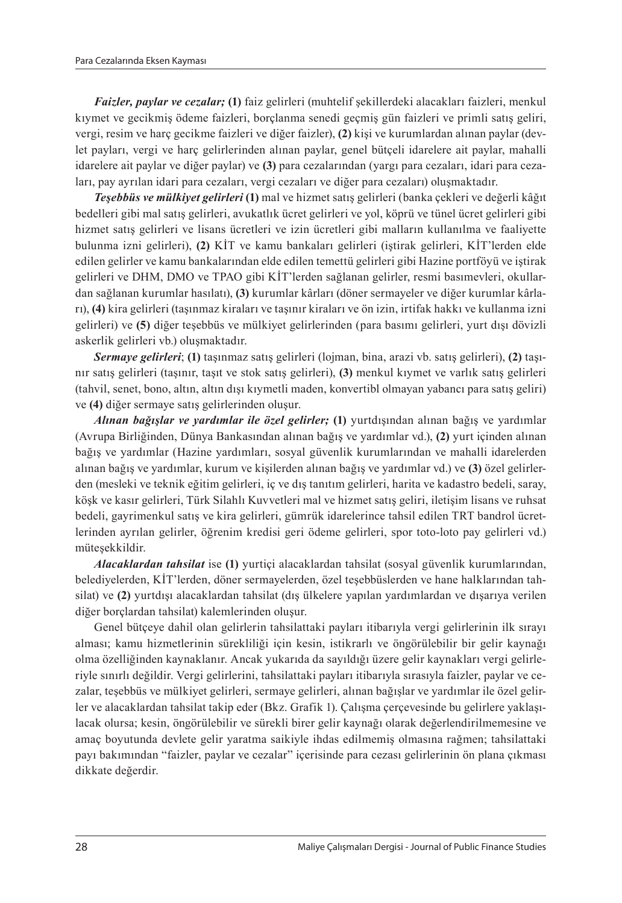*Faizler, paylar ve cezalar;* **(1)** faiz gelirleri (muhtelif şekillerdeki alacakları faizleri, menkul kıymet ve gecikmiş ödeme faizleri, borçlanma senedi geçmiş gün faizleri ve primli satış geliri, vergi, resim ve harç gecikme faizleri ve diğer faizler), **(2)** kişi ve kurumlardan alınan paylar (devlet payları, vergi ve harç gelirlerinden alınan paylar, genel bütçeli idarelere ait paylar, mahalli idarelere ait paylar ve diğer paylar) ve **(3)** para cezalarından (yargı para cezaları, idari para cezaları, pay ayrılan idari para cezaları, vergi cezaları ve diğer para cezaları) oluşmaktadır.

*Teşebbüs ve mülkiyet gelirleri* **(1)** mal ve hizmet satış gelirleri (banka çekleri ve değerli kâğıt bedelleri gibi mal satış gelirleri, avukatlık ücret gelirleri ve yol, köprü ve tünel ücret gelirleri gibi hizmet satış gelirleri ve lisans ücretleri ve izin ücretleri gibi malların kullanılma ve faaliyette bulunma izni gelirleri), **(2)** KİT ve kamu bankaları gelirleri (iştirak gelirleri, KİT'lerden elde edilen gelirler ve kamu bankalarından elde edilen temettü gelirleri gibi Hazine portföyü ve iştirak gelirleri ve DHM, DMO ve TPAO gibi KİT'lerden sağlanan gelirler, resmi basımevleri, okullardan sağlanan kurumlar hasılatı), **(3)** kurumlar kârları (döner sermayeler ve diğer kurumlar kârları), **(4)** kira gelirleri (taşınmaz kiraları ve taşınır kiraları ve ön izin, irtifak hakkı ve kullanma izni gelirleri) ve **(5)** diğer teşebbüs ve mülkiyet gelirlerinden (para basımı gelirleri, yurt dışı dövizli askerlik gelirleri vb.) oluşmaktadır.

*Sermaye gelirleri*; **(1)** taşınmaz satış gelirleri (lojman, bina, arazi vb. satış gelirleri), **(2)** taşınır satış gelirleri (taşınır, taşıt ve stok satış gelirleri), **(3)** menkul kıymet ve varlık satış gelirleri (tahvil, senet, bono, altın, altın dışı kıymetli maden, konvertibl olmayan yabancı para satış geliri) ve **(4)** diğer sermaye satış gelirlerinden oluşur.

*Alınan bağışlar ve yardımlar ile özel gelirler;* **(1)** yurtdışından alınan bağış ve yardımlar (Avrupa Birliğinden, Dünya Bankasından alınan bağış ve yardımlar vd.), **(2)** yurt içinden alınan bağış ve yardımlar (Hazine yardımları, sosyal güvenlik kurumlarından ve mahalli idarelerden alınan bağış ve yardımlar, kurum ve kişilerden alınan bağış ve yardımlar vd.) ve **(3)** özel gelirlerden (mesleki ve teknik eğitim gelirleri, iç ve dış tanıtım gelirleri, harita ve kadastro bedeli, saray, köşk ve kasır gelirleri, Türk Silahlı Kuvvetleri mal ve hizmet satış geliri, iletişim lisans ve ruhsat bedeli, gayrimenkul satış ve kira gelirleri, gümrük idarelerince tahsil edilen TRT bandrol ücretlerinden ayrılan gelirler, öğrenim kredisi geri ödeme gelirleri, spor toto-loto pay gelirleri vd.) müteşekkildir.

*Alacaklardan tahsilat* ise **(1)** yurtiçi alacaklardan tahsilat (sosyal güvenlik kurumlarından, belediyelerden, KİT'lerden, döner sermayelerden, özel teşebbüslerden ve hane halklarından tahsilat) ve **(2)** yurtdışı alacaklardan tahsilat (dış ülkelere yapılan yardımlardan ve dışarıya verilen diğer borçlardan tahsilat) kalemlerinden oluşur.

Genel bütçeye dahil olan gelirlerin tahsilattaki payları itibarıyla vergi gelirlerinin ilk sırayı alması; kamu hizmetlerinin sürekliliği için kesin, istikrarlı ve öngörülebilir bir gelir kaynağı olma özelliğinden kaynaklanır. Ancak yukarıda da sayıldığı üzere gelir kaynakları vergi gelirleriyle sınırlı değildir. Vergi gelirlerini, tahsilattaki payları itibarıyla sırasıyla faizler, paylar ve cezalar, teşebbüs ve mülkiyet gelirleri, sermaye gelirleri, alınan bağışlar ve yardımlar ile özel gelirler ve alacaklardan tahsilat takip eder (Bkz. Grafik 1). Çalışma çerçevesinde bu gelirlere yaklaşılacak olursa; kesin, öngörülebilir ve sürekli birer gelir kaynağı olarak değerlendirilmemesine ve amaç boyutunda devlete gelir yaratma saikiyle ihdas edilmemiş olmasına rağmen; tahsilattaki payı bakımından "faizler, paylar ve cezalar" içerisinde para cezası gelirlerinin ön plana çıkması dikkate değerdir.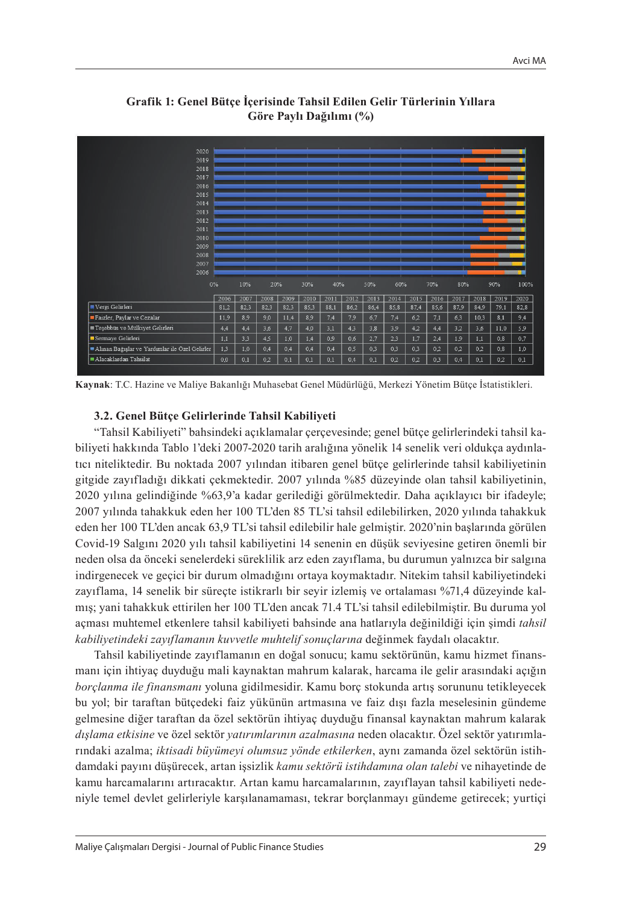

**Grafik 1: Genel Bütçe İçerisinde Tahsil Edilen Gelir Türlerinin Yıllara Göre Paylı Dağılımı (%)**

**Kaynak**: T.C. Hazine ve Maliye Bakanlığı Muhasebat Genel Müdürlüğü, Merkezi Yönetim Bütçe İstatistikleri.

#### **3.2. Genel Bütçe Gelirlerinde Tahsil Kabiliyeti**

"Tahsil Kabiliyeti" bahsindeki açıklamalar çerçevesinde; genel bütçe gelirlerindeki tahsil kabiliyeti hakkında Tablo 1'deki 2007-2020 tarih aralığına yönelik 14 senelik veri oldukça aydınlatıcı niteliktedir. Bu noktada 2007 yılından itibaren genel bütçe gelirlerinde tahsil kabiliyetinin gitgide zayıfladığı dikkati çekmektedir. 2007 yılında %85 düzeyinde olan tahsil kabiliyetinin, 2020 yılına gelindiğinde %63,9'a kadar gerilediği görülmektedir. Daha açıklayıcı bir ifadeyle; 2007 yılında tahakkuk eden her 100 TL'den 85 TL'si tahsil edilebilirken, 2020 yılında tahakkuk eden her 100 TL'den ancak 63,9 TL'si tahsil edilebilir hale gelmiştir. 2020'nin başlarında görülen Covid-19 Salgını 2020 yılı tahsil kabiliyetini 14 senenin en düşük seviyesine getiren önemli bir neden olsa da önceki senelerdeki süreklilik arz eden zayıflama, bu durumun yalnızca bir salgına indirgenecek ve geçici bir durum olmadığını ortaya koymaktadır. Nitekim tahsil kabiliyetindeki zayıflama, 14 senelik bir süreçte istikrarlı bir seyir izlemiş ve ortalaması %71,4 düzeyinde kalmış; yani tahakkuk ettirilen her 100 TL'den ancak 71.4 TL'si tahsil edilebilmiştir. Bu duruma yol açması muhtemel etkenlere tahsil kabiliyeti bahsinde ana hatlarıyla değinildiği için şimdi *tahsil kabiliyetindeki zayıflamanın kuvvetle muhtelif sonuçlarına* değinmek faydalı olacaktır.

Tahsil kabiliyetinde zayıflamanın en doğal sonucu; kamu sektörünün, kamu hizmet finansmanı için ihtiyaç duyduğu mali kaynaktan mahrum kalarak, harcama ile gelir arasındaki açığın *borçlanma ile finansmanı* yoluna gidilmesidir. Kamu borç stokunda artış sorununu tetikleyecek bu yol; bir taraftan bütçedeki faiz yükünün artmasına ve faiz dışı fazla meselesinin gündeme gelmesine diğer taraftan da özel sektörün ihtiyaç duyduğu finansal kaynaktan mahrum kalarak *dışlama etkisine* ve özel sektör *yatırımlarının azalmasına* neden olacaktır. Özel sektör yatırımlarındaki azalma; *iktisadi büyümeyi olumsuz yönde etkilerken*, aynı zamanda özel sektörün istihdamdaki payını düşürecek, artan işsizlik *kamu sektörü istihdamına olan talebi* ve nihayetinde de kamu harcamalarını artıracaktır. Artan kamu harcamalarının, zayıflayan tahsil kabiliyeti nedeniyle temel devlet gelirleriyle karşılanamaması, tekrar borçlanmayı gündeme getirecek; yurtiçi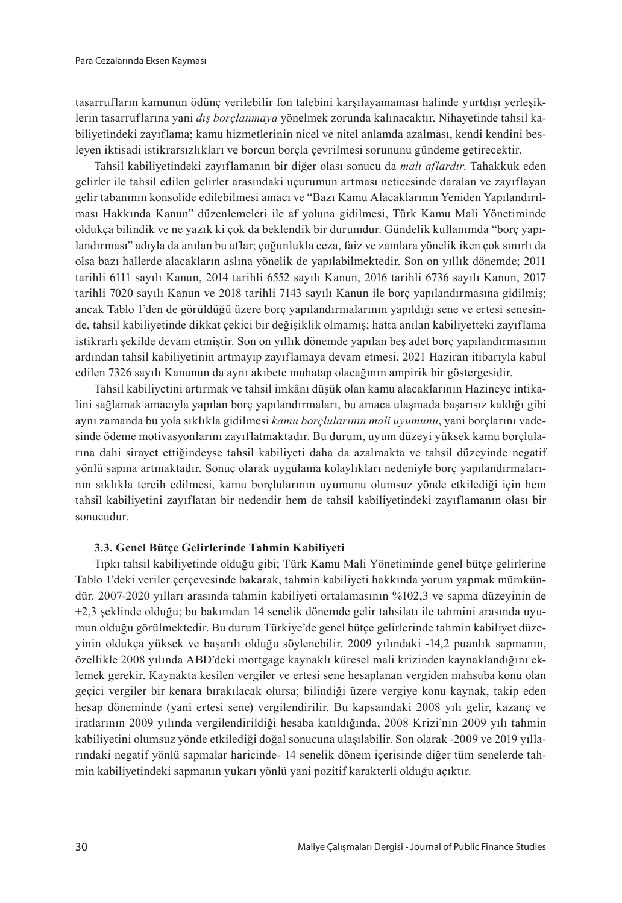tasarrufların kamunun ödünç verilebilir fon talebini karşılayamaması halinde yurtdışı yerleşiklerin tasarruflarına yani *dış borçlanmaya* yönelmek zorunda kalınacaktır. Nihayetinde tahsil kabiliyetindeki zayıflama; kamu hizmetlerinin nicel ve nitel anlamda azalması, kendi kendini besleyen iktisadi istikrarsızlıkları ve borcun borçla çevrilmesi sorununu gündeme getirecektir.

Tahsil kabiliyetindeki zayıflamanın bir diğer olası sonucu da *mali aflardır*. Tahakkuk eden gelirler ile tahsil edilen gelirler arasındaki uçurumun artması neticesinde daralan ve zayıflayan gelir tabanının konsolide edilebilmesi amacı ve "Bazı Kamu Alacaklarının Yeniden Yapılandırılması Hakkında Kanun" düzenlemeleri ile af yoluna gidilmesi, Türk Kamu Mali Yönetiminde oldukça bilindik ve ne yazık ki çok da beklendik bir durumdur. Gündelik kullanımda "borç yapılandırması" adıyla da anılan bu aflar; çoğunlukla ceza, faiz ve zamlara yönelik iken çok sınırlı da olsa bazı hallerde alacakların aslına yönelik de yapılabilmektedir. Son on yıllık dönemde; 2011 tarihli 6111 sayılı Kanun, 2014 tarihli 6552 sayılı Kanun, 2016 tarihli 6736 sayılı Kanun, 2017 tarihli 7020 sayılı Kanun ve 2018 tarihli 7143 sayılı Kanun ile borç yapılandırmasına gidilmiş; ancak Tablo 1'den de görüldüğü üzere borç yapılandırmalarının yapıldığı sene ve ertesi senesinde, tahsil kabiliyetinde dikkat çekici bir değişiklik olmamış; hatta anılan kabiliyetteki zayıflama istikrarlı şekilde devam etmiştir. Son on yıllık dönemde yapılan beş adet borç yapılandırmasının ardından tahsil kabiliyetinin artmayıp zayıflamaya devam etmesi, 2021 Haziran itibarıyla kabul edilen 7326 sayılı Kanunun da aynı akıbete muhatap olacağının ampirik bir göstergesidir.

Tahsil kabiliyetini artırmak ve tahsil imkânı düşük olan kamu alacaklarının Hazineye intikalini sağlamak amacıyla yapılan borç yapılandırmaları, bu amaca ulaşmada başarısız kaldığı gibi aynı zamanda bu yola sıklıkla gidilmesi *kamu borçlularının mali uyumunu*, yani borçlarını vadesinde ödeme motivasyonlarını zayıflatmaktadır. Bu durum, uyum düzeyi yüksek kamu borçlularına dahi sirayet ettiğindeyse tahsil kabiliyeti daha da azalmakta ve tahsil düzeyinde negatif yönlü sapma artmaktadır. Sonuç olarak uygulama kolaylıkları nedeniyle borç yapılandırmalarının sıklıkla tercih edilmesi, kamu borçlularının uyumunu olumsuz yönde etkilediği için hem tahsil kabiliyetini zayıflatan bir nedendir hem de tahsil kabiliyetindeki zayıflamanın olası bir sonucudur.

#### **3.3. Genel Bütçe Gelirlerinde Tahmin Kabiliyeti**

Tıpkı tahsil kabiliyetinde olduğu gibi; Türk Kamu Mali Yönetiminde genel bütçe gelirlerine Tablo 1'deki veriler çerçevesinde bakarak, tahmin kabiliyeti hakkında yorum yapmak mümkündür. 2007-2020 yılları arasında tahmin kabiliyeti ortalamasının %102,3 ve sapma düzeyinin de +2,3 şeklinde olduğu; bu bakımdan 14 senelik dönemde gelir tahsilatı ile tahmini arasında uyumun olduğu görülmektedir. Bu durum Türkiye'de genel bütçe gelirlerinde tahmin kabiliyet düzeyinin oldukça yüksek ve başarılı olduğu söylenebilir. 2009 yılındaki -14,2 puanlık sapmanın, özellikle 2008 yılında ABD'deki mortgage kaynaklı küresel mali krizinden kaynaklandığını eklemek gerekir. Kaynakta kesilen vergiler ve ertesi sene hesaplanan vergiden mahsuba konu olan geçici vergiler bir kenara bırakılacak olursa; bilindiği üzere vergiye konu kaynak, takip eden hesap döneminde (yani ertesi sene) vergilendirilir. Bu kapsamdaki 2008 yılı gelir, kazanç ve iratlarının 2009 yılında vergilendirildiği hesaba katıldığında, 2008 Krizi'nin 2009 yılı tahmin kabiliyetini olumsuz yönde etkilediği doğal sonucuna ulaşılabilir. Son olarak -2009 ve 2019 yıllarındaki negatif yönlü sapmalar haricinde- 14 senelik dönem içerisinde diğer tüm senelerde tahmin kabiliyetindeki sapmanın yukarı yönlü yani pozitif karakterli olduğu açıktır.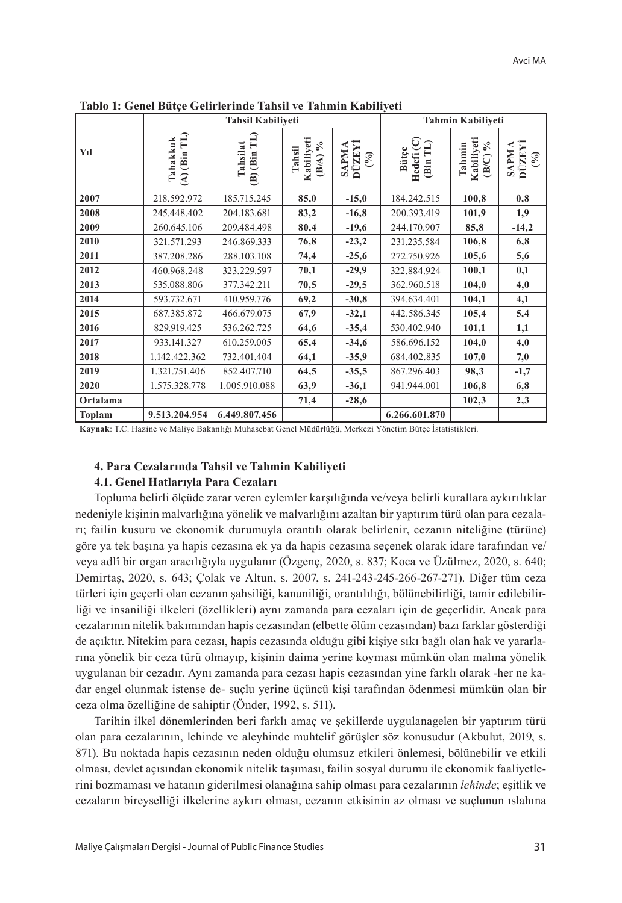|          |                            | <b>Tahsil Kabiliveti</b>            |                                                             |                        | Tahmin Kabiliyeti                   |                                             |                                        |
|----------|----------------------------|-------------------------------------|-------------------------------------------------------------|------------------------|-------------------------------------|---------------------------------------------|----------------------------------------|
| Yıl      | $(A)$ (Bin TL)<br>Tahakkuk | (Bin TL)<br>Tahsilat<br>$\tilde{a}$ | Kabiliyeti<br>$\mathcal{S}_{\mathbf{0}}$<br>Tahsil<br>(B/A) | SAPMA<br>DÜZEYİ<br>(9) | ں<br>Bütçe<br>⊨<br>Hedefi<br>(Bin T | Kabiliyeti<br>$\delta_0$<br>Tahmin<br>(B/C) | SAPMA<br>DÜZEYİ<br>$\mathcal{O}^{(0)}$ |
| 2007     | 218.592.972                | 185.715.245                         | 85,0                                                        | $-15,0$                | 184.242.515                         | 100,8                                       | 0,8                                    |
| 2008     | 245.448.402                | 204.183.681                         | 83,2                                                        | $-16,8$                | 200.393.419                         | 101,9                                       | 1,9                                    |
| 2009     | 260.645.106                | 209.484.498                         | 80,4                                                        | $-19,6$                | 244.170.907                         | 85,8                                        | $-14,2$                                |
| 2010     | 321.571.293                | 246.869.333                         | 76,8                                                        | $-23,2$                | 231.235.584                         | 106,8                                       | 6,8                                    |
| 2011     | 387.208.286                | 288.103.108                         | 74,4                                                        | $-25,6$                | 272.750.926                         | 105,6                                       | 5,6                                    |
| 2012     | 460.968.248                | 323.229.597                         | 70,1                                                        | $-29,9$                | 322.884.924                         | 100,1                                       | 0,1                                    |
| 2013     | 535.088.806                | 377.342.211                         | 70,5                                                        | $-29,5$                | 362.960.518                         | 104,0                                       | 4,0                                    |
| 2014     | 593.732.671                | 410.959.776                         | 69,2                                                        | $-30,8$                | 394.634.401                         | 104,1                                       | 4,1                                    |
| 2015     | 687.385.872                | 466.679.075                         | 67,9                                                        | $-32,1$                | 442.586.345                         | 105,4                                       | 5,4                                    |
| 2016     | 829.919.425                | 536.262.725                         | 64,6                                                        | $-35,4$                | 530.402.940                         | 101,1                                       | 1,1                                    |
| 2017     | 933.141.327                | 610.259.005                         | 65,4                                                        | $-34,6$                | 586.696.152                         | 104,0                                       | 4,0                                    |
| 2018     | 1.142.422.362              | 732.401.404                         | 64,1                                                        | $-35,9$                | 684.402.835                         | 107,0                                       | 7,0                                    |
| 2019     | 1.321.751.406              | 852.407.710                         | 64,5                                                        | $-35,5$                | 867.296.403                         | 98,3                                        | $-1,7$                                 |
| 2020     | 1.575.328.778              | 1.005.910.088                       | 63,9                                                        | $-36,1$                | 941.944.001                         | 106,8                                       | 6,8                                    |
| Ortalama |                            |                                     | 71,4                                                        | $-28,6$                |                                     | 102,3                                       | 2,3                                    |
| Toplam   | 9.513.204.954              | 6.449.807.456                       |                                                             |                        | 6.266.601.870                       |                                             |                                        |

**Tablo 1: Genel Bütçe Gelirlerinde Tahsil ve Tahmin Kabiliyeti**

**Kaynak**: T.C. Hazine ve Maliye Bakanlığı Muhasebat Genel Müdürlüğü, Merkezi Yönetim Bütçe İstatistikleri*.*

#### **4. Para Cezalarında Tahsil ve Tahmin Kabiliyeti**

### **4.1. Genel Hatlarıyla Para Cezaları**

Topluma belirli ölçüde zarar veren eylemler karşılığında ve/veya belirli kurallara aykırılıklar nedeniyle kişinin malvarlığına yönelik ve malvarlığını azaltan bir yaptırım türü olan para cezaları; failin kusuru ve ekonomik durumuyla orantılı olarak belirlenir, cezanın niteliğine (türüne) göre ya tek başına ya hapis cezasına ek ya da hapis cezasına seçenek olarak idare tarafından ve/ veya adlî bir organ aracılığıyla uygulanır (Özgenç, 2020, s. 837; Koca ve Üzülmez, 2020, s. 640; Demirtaş, 2020, s. 643; Çolak ve Altun, s. 2007, s. 241-243-245-266-267-271). Diğer tüm ceza türleri için geçerli olan cezanın şahsiliği, kanuniliği, orantılılığı, bölünebilirliği, tamir edilebilirliği ve insaniliği ilkeleri (özellikleri) aynı zamanda para cezaları için de geçerlidir. Ancak para cezalarının nitelik bakımından hapis cezasından (elbette ölüm cezasından) bazı farklar gösterdiği de açıktır. Nitekim para cezası, hapis cezasında olduğu gibi kişiye sıkı bağlı olan hak ve yararlarına yönelik bir ceza türü olmayıp, kişinin daima yerine koyması mümkün olan malına yönelik uygulanan bir cezadır. Aynı zamanda para cezası hapis cezasından yine farklı olarak -her ne kadar engel olunmak istense de- suçlu yerine üçüncü kişi tarafından ödenmesi mümkün olan bir ceza olma özelliğine de sahiptir (Önder, 1992, s. 511).

Tarihin ilkel dönemlerinden beri farklı amaç ve şekillerde uygulanagelen bir yaptırım türü olan para cezalarının, lehinde ve aleyhinde muhtelif görüşler söz konusudur (Akbulut, 2019, s. 871). Bu noktada hapis cezasının neden olduğu olumsuz etkileri önlemesi, bölünebilir ve etkili olması, devlet açısından ekonomik nitelik taşıması, failin sosyal durumu ile ekonomik faaliyetlerini bozmaması ve hatanın giderilmesi olanağına sahip olması para cezalarının *lehinde*; eşitlik ve cezaların bireyselliği ilkelerine aykırı olması, cezanın etkisinin az olması ve suçlunun ıslahına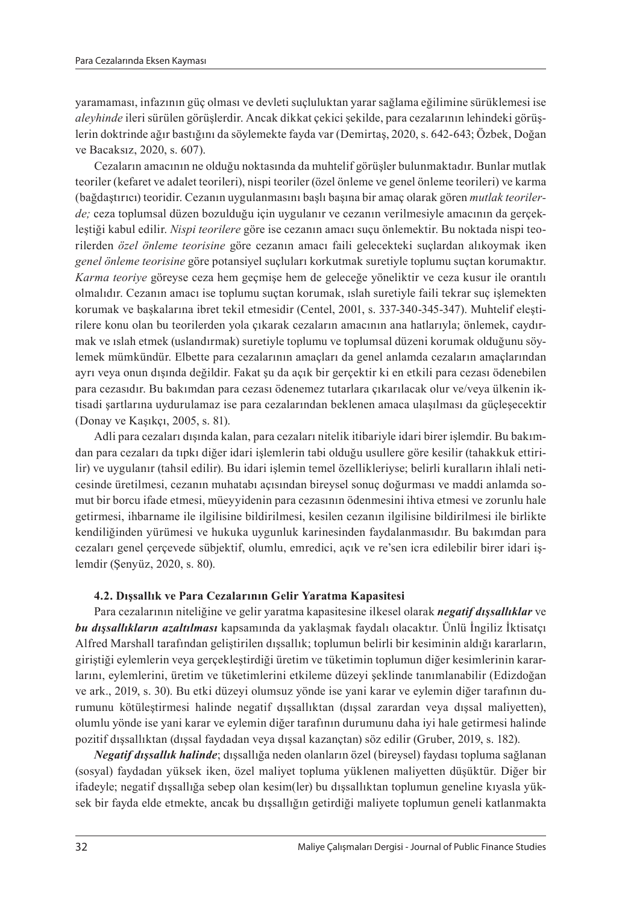yaramaması, infazının güç olması ve devleti suçluluktan yarar sağlama eğilimine sürüklemesi ise *aleyhinde* ileri sürülen görüşlerdir. Ancak dikkat çekici şekilde, para cezalarının lehindeki görüşlerin doktrinde ağır bastığını da söylemekte fayda var (Demirtaş, 2020, s. 642-643; Özbek, Doğan ve Bacaksız, 2020, s. 607).

Cezaların amacının ne olduğu noktasında da muhtelif görüşler bulunmaktadır. Bunlar mutlak teoriler (kefaret ve adalet teorileri), nispi teoriler (özel önleme ve genel önleme teorileri) ve karma (bağdaştırıcı) teoridir. Cezanın uygulanmasını başlı başına bir amaç olarak gören *mutlak teorilerde;* ceza toplumsal düzen bozulduğu için uygulanır ve cezanın verilmesiyle amacının da gerçekleştiği kabul edilir. *Nispi teorilere* göre ise cezanın amacı suçu önlemektir. Bu noktada nispi teorilerden *özel önleme teorisine* göre cezanın amacı faili gelecekteki suçlardan alıkoymak iken *genel önleme teorisine* göre potansiyel suçluları korkutmak suretiyle toplumu suçtan korumaktır. *Karma teoriye* göreyse ceza hem geçmişe hem de geleceğe yöneliktir ve ceza kusur ile orantılı olmalıdır. Cezanın amacı ise toplumu suçtan korumak, ıslah suretiyle faili tekrar suç işlemekten korumak ve başkalarına ibret tekil etmesidir (Centel, 2001, s. 337-340-345-347). Muhtelif eleştirilere konu olan bu teorilerden yola çıkarak cezaların amacının ana hatlarıyla; önlemek, caydırmak ve ıslah etmek (uslandırmak) suretiyle toplumu ve toplumsal düzeni korumak olduğunu söylemek mümkündür. Elbette para cezalarının amaçları da genel anlamda cezaların amaçlarından ayrı veya onun dışında değildir. Fakat şu da açık bir gerçektir ki en etkili para cezası ödenebilen para cezasıdır. Bu bakımdan para cezası ödenemez tutarlara çıkarılacak olur ve/veya ülkenin iktisadi şartlarına uydurulamaz ise para cezalarından beklenen amaca ulaşılması da güçleşecektir (Donay ve Kaşıkçı, 2005, s. 81).

Adli para cezaları dışında kalan, para cezaları nitelik itibariyle idari birer işlemdir. Bu bakımdan para cezaları da tıpkı diğer idari işlemlerin tabi olduğu usullere göre kesilir (tahakkuk ettirilir) ve uygulanır (tahsil edilir). Bu idari işlemin temel özellikleriyse; belirli kuralların ihlali neticesinde üretilmesi, cezanın muhatabı açısından bireysel sonuç doğurması ve maddi anlamda somut bir borcu ifade etmesi, müeyyidenin para cezasının ödenmesini ihtiva etmesi ve zorunlu hale getirmesi, ihbarname ile ilgilisine bildirilmesi, kesilen cezanın ilgilisine bildirilmesi ile birlikte kendiliğinden yürümesi ve hukuka uygunluk karinesinden faydalanmasıdır. Bu bakımdan para cezaları genel çerçevede sübjektif, olumlu, emredici, açık ve re'sen icra edilebilir birer idari işlemdir (Şenyüz, 2020, s. 80).

## **4.2. Dışsallık ve Para Cezalarının Gelir Yaratma Kapasitesi**

Para cezalarının niteliğine ve gelir yaratma kapasitesine ilkesel olarak *negatif dışsallıklar* ve *bu dışsallıkların azaltılması* kapsamında da yaklaşmak faydalı olacaktır. Ünlü İngiliz İktisatçı Alfred Marshall tarafından geliştirilen dışsallık; toplumun belirli bir kesiminin aldığı kararların, giriştiği eylemlerin veya gerçekleştirdiği üretim ve tüketimin toplumun diğer kesimlerinin kararlarını, eylemlerini, üretim ve tüketimlerini etkileme düzeyi şeklinde tanımlanabilir (Edizdoğan ve ark., 2019, s. 30). Bu etki düzeyi olumsuz yönde ise yani karar ve eylemin diğer tarafının durumunu kötüleştirmesi halinde negatif dışsallıktan (dışsal zarardan veya dışsal maliyetten), olumlu yönde ise yani karar ve eylemin diğer tarafının durumunu daha iyi hale getirmesi halinde pozitif dışsallıktan (dışsal faydadan veya dışsal kazançtan) söz edilir (Gruber, 2019, s. 182).

*Negatif dışsallık halinde*; dışsallığa neden olanların özel (bireysel) faydası topluma sağlanan (sosyal) faydadan yüksek iken, özel maliyet topluma yüklenen maliyetten düşüktür. Diğer bir ifadeyle; negatif dışsallığa sebep olan kesim(ler) bu dışsallıktan toplumun geneline kıyasla yüksek bir fayda elde etmekte, ancak bu dışsallığın getirdiği maliyete toplumun geneli katlanmakta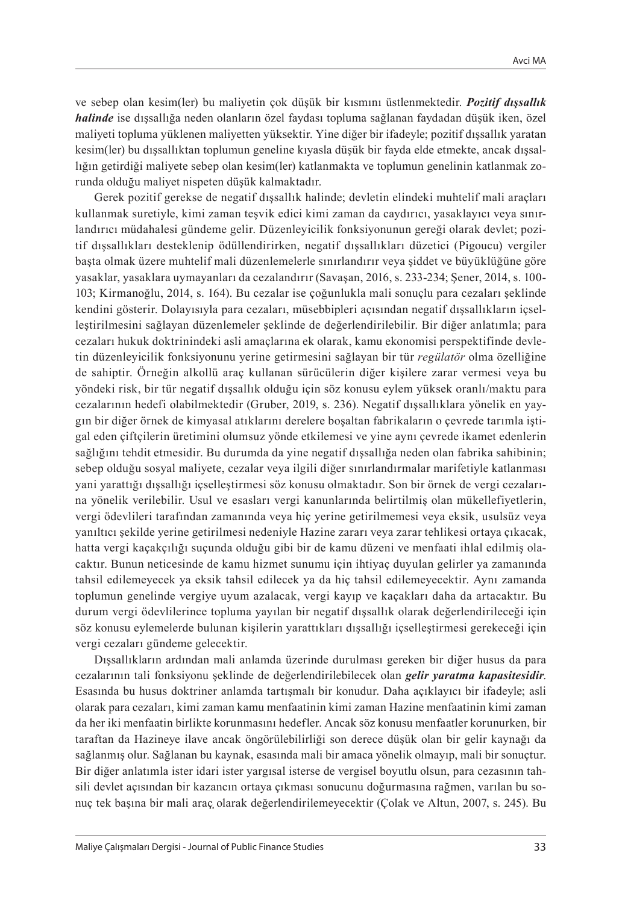ve sebep olan kesim(ler) bu maliyetin çok düşük bir kısmını üstlenmektedir. *Pozitif dışsallık halinde* ise dışsallığa neden olanların özel faydası topluma sağlanan faydadan düşük iken, özel maliyeti topluma yüklenen maliyetten yüksektir. Yine diğer bir ifadeyle; pozitif dışsallık yaratan kesim(ler) bu dışsallıktan toplumun geneline kıyasla düşük bir fayda elde etmekte, ancak dışsallığın getirdiği maliyete sebep olan kesim(ler) katlanmakta ve toplumun genelinin katlanmak zorunda olduğu maliyet nispeten düşük kalmaktadır.

Gerek pozitif gerekse de negatif dışsallık halinde; devletin elindeki muhtelif mali araçları kullanmak suretiyle, kimi zaman teşvik edici kimi zaman da caydırıcı, yasaklayıcı veya sınırlandırıcı müdahalesi gündeme gelir. Düzenleyicilik fonksiyonunun gereği olarak devlet; pozitif dışsallıkları desteklenip ödüllendirirken, negatif dışsallıkları düzetici (Pigoucu) vergiler başta olmak üzere muhtelif mali düzenlemelerle sınırlandırır veya şiddet ve büyüklüğüne göre yasaklar, yasaklara uymayanları da cezalandırır (Savaşan, 2016, s. 233-234; Şener, 2014, s. 100- 103; Kirmanoğlu, 2014, s. 164). Bu cezalar ise çoğunlukla mali sonuçlu para cezaları şeklinde kendini gösterir. Dolayısıyla para cezaları, müsebbipleri açısından negatif dışsallıkların içselleştirilmesini sağlayan düzenlemeler şeklinde de değerlendirilebilir. Bir diğer anlatımla; para cezaları hukuk doktrinindeki asli amaçlarına ek olarak, kamu ekonomisi perspektifinde devletin düzenleyicilik fonksiyonunu yerine getirmesini sağlayan bir tür *regülatör* olma özelliğine de sahiptir. Örneğin alkollü araç kullanan sürücülerin diğer kişilere zarar vermesi veya bu yöndeki risk, bir tür negatif dışsallık olduğu için söz konusu eylem yüksek oranlı/maktu para cezalarının hedefi olabilmektedir (Gruber, 2019, s. 236). Negatif dışsallıklara yönelik en yaygın bir diğer örnek de kimyasal atıklarını derelere boşaltan fabrikaların o çevrede tarımla iştigal eden çiftçilerin üretimini olumsuz yönde etkilemesi ve yine aynı çevrede ikamet edenlerin sağlığını tehdit etmesidir. Bu durumda da yine negatif dışsallığa neden olan fabrika sahibinin; sebep olduğu sosyal maliyete, cezalar veya ilgili diğer sınırlandırmalar marifetiyle katlanması yani yarattığı dışsallığı içselleştirmesi söz konusu olmaktadır. Son bir örnek de vergi cezalarına yönelik verilebilir. Usul ve esasları vergi kanunlarında belirtilmiş olan mükellefiyetlerin, vergi ödevlileri tarafından zamanında veya hiç yerine getirilmemesi veya eksik, usulsüz veya yanıltıcı şekilde yerine getirilmesi nedeniyle Hazine zararı veya zarar tehlikesi ortaya çıkacak, hatta vergi kaçakçılığı suçunda olduğu gibi bir de kamu düzeni ve menfaati ihlal edilmiş olacaktır. Bunun neticesinde de kamu hizmet sunumu için ihtiyaç duyulan gelirler ya zamanında tahsil edilemeyecek ya eksik tahsil edilecek ya da hiç tahsil edilemeyecektir. Aynı zamanda toplumun genelinde vergiye uyum azalacak, vergi kayıp ve kaçakları daha da artacaktır. Bu durum vergi ödevlilerince topluma yayılan bir negatif dışsallık olarak değerlendirileceği için söz konusu eylemelerde bulunan kişilerin yarattıkları dışsallığı içselleştirmesi gerekeceği için vergi cezaları gündeme gelecektir.

Dışsallıkların ardından mali anlamda üzerinde durulması gereken bir diğer husus da para cezalarının tali fonksiyonu şeklinde de değerlendirilebilecek olan *gelir yaratma kapasitesidir*. Esasında bu husus doktriner anlamda tartışmalı bir konudur. Daha açıklayıcı bir ifadeyle; asli olarak para cezaları, kimi zaman kamu menfaatinin kimi zaman Hazine menfaatinin kimi zaman da her iki menfaatin birlikte korunmasını hedefler. Ancak söz konusu menfaatler korunurken, bir taraftan da Hazineye ilave ancak öngörülebilirliği son derece düşük olan bir gelir kaynağı da sağlanmış olur. Sağlanan bu kaynak, esasında mali bir amaca yönelik olmayıp, mali bir sonuçtur. Bir diğer anlatımla ister idari ister yargısal isterse de vergisel boyutlu olsun, para cezasının tahsili devlet açısından bir kazancın ortaya çıkması sonucunu doğurmasına rağmen, varılan bu sonuç tek başına bir mali araç̧ olarak değerlendirilemeyecektir (Çolak ve Altun, 2007, s. 245). Bu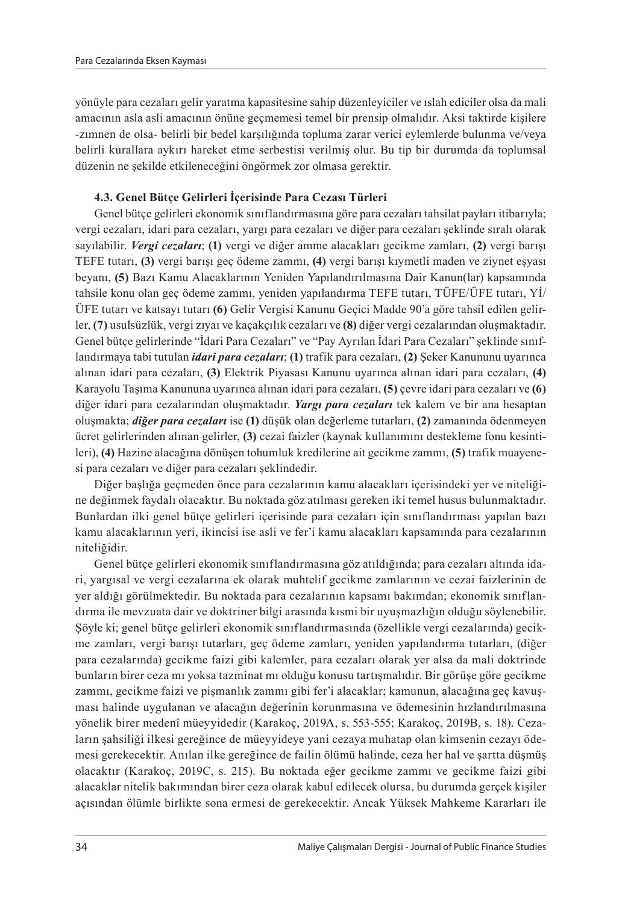yönüyle para cezaları gelir yaratma kapasitesine sahip düzenleyiciler ve ıslah ediciler olsa da mali amacının asla asli amacının önüne geçmemesi temel bir prensip olmalıdır. Aksi taktirde kişilere -zımnen de olsa- belirli bir bedel karşılığında topluma zarar verici eylemlerde bulunma ve/veya belirli kurallara aykırı hareket etme serbestisi verilmiş olur. Bu tip bir durumda da toplumsal düzenin ne şekilde etkileneceğini öngörmek zor olmasa gerektir.

## **4.3. Genel Bütçe Gelirleri İçerisinde Para Cezası Türleri**

Genel bütçe gelirleri ekonomik sınıflandırmasına göre para cezaları tahsilat payları itibarıyla; vergi cezaları, idari para cezaları, yargı para cezaları ve diğer para cezaları şeklinde sıralı olarak sayılabilir. *Vergi cezaları*; **(1)** vergi ve diğer amme alacakları gecikme zamları, **(2)** vergi barışı TEFE tutarı, **(3)** vergi barışı geç ödeme zammı, **(4)** vergi barışı kıymetli maden ve ziynet eşyası beyanı, **(5)** Bazı Kamu Alacaklarının Yeniden Yapılandırılmasına Dair Kanun(lar) kapsamında tahsile konu olan geç ödeme zammı, yeniden yapılandırma TEFE tutarı, TÜFE/ÜFE tutarı, Yİ/ ÜFE tutarı ve katsayı tutarı **(6)** Gelir Vergisi Kanunu Geçici Madde 90'a göre tahsil edilen gelirler, **(7)** usulsüzlük, vergi zıyaı ve kaçakçılık cezaları ve **(8)** diğer vergi cezalarından oluşmaktadır. Genel bütçe gelirlerinde "İdari Para Cezaları" ve "Pay Ayrılan İdari Para Cezaları" şeklinde sınıflandırmaya tabi tutulan *idari para cezaları*; **(1)** trafik para cezaları, **(2)** Şeker Kanununu uyarınca alınan idari para cezaları, **(3)** Elektrik Piyasası Kanunu uyarınca alınan idari para cezaları, **(4)**  Karayolu Taşıma Kanununa uyarınca alınan idari para cezaları, **(5)** çevre idari para cezaları ve **(6)**  diğer idari para cezalarından oluşmaktadır. *Yargı para cezaları* tek kalem ve bir ana hesaptan oluşmakta; *diğer para cezaları* ise **(1)** düşük olan değerleme tutarları, **(2)** zamanında ödenmeyen ücret gelirlerinden alınan gelirler, **(3)** cezai faizler (kaynak kullanımını destekleme fonu kesintileri), **(4)** Hazine alacağına dönüşen tohumluk kredilerine ait gecikme zammı, **(5)** trafik muayenesi para cezaları ve diğer para cezaları şeklindedir.

Diğer başlığa geçmeden önce para cezalarının kamu alacakları içerisindeki yer ve niteliğine değinmek faydalı olacaktır. Bu noktada göz atılması gereken iki temel husus bulunmaktadır. Bunlardan ilki genel bütçe gelirleri içerisinde para cezaları için sınıflandırması yapılan bazı kamu alacaklarının yeri, ikincisi ise asli ve fer'i kamu alacakları kapsamında para cezalarının niteliğidir.

Genel bütçe gelirleri ekonomik sınıflandırmasına göz atıldığında; para cezaları altında idari, yargısal ve vergi cezalarına ek olarak muhtelif gecikme zamlarının ve cezai faizlerinin de yer aldığı görülmektedir. Bu noktada para cezalarının kapsamı bakımdan; ekonomik sınıflandırma ile mevzuata dair ve doktriner bilgi arasında kısmi bir uyuşmazlığın olduğu söylenebilir. Şöyle ki; genel bütçe gelirleri ekonomik sınıflandırmasında (özellikle vergi cezalarında) gecikme zamları, vergi barışı tutarları, geç ödeme zamları, yeniden yapılandırma tutarları, (diğer para cezalarında) gecikme faizi gibi kalemler, para cezaları olarak yer alsa da mali doktrinde bunların birer ceza mı yoksa tazminat mı olduğu konusu tartışmalıdır. Bir görüşe göre gecikme zammı, gecikme faizi ve pişmanlık zammı gibi fer'i alacaklar; kamunun, alacağına geç kavuşması halinde uygulanan ve alacağın değerinin korunmasına ve ödemesinin hızlandırılmasına yönelik birer medenî müeyyidedir (Karakoç, 2019A, s. 553-555; Karakoç, 2019B, s. 18). Cezaların şahsiliği ilkesi gereğince de müeyyideye yani cezaya muhatap olan kimsenin cezayı ödemesi gerekecektir. Anılan ilke gereğince de failin ölümü halinde, ceza her hal ve şartta düşmüş olacaktır (Karakoç, 2019C, s. 215). Bu noktada eğer gecikme zammı ve gecikme faizi gibi alacaklar nitelik bakımından birer ceza olarak kabul edilecek olursa, bu durumda gerçek kişiler açısından ölümle birlikte sona ermesi de gerekecektir. Ancak Yüksek Mahkeme Kararları ile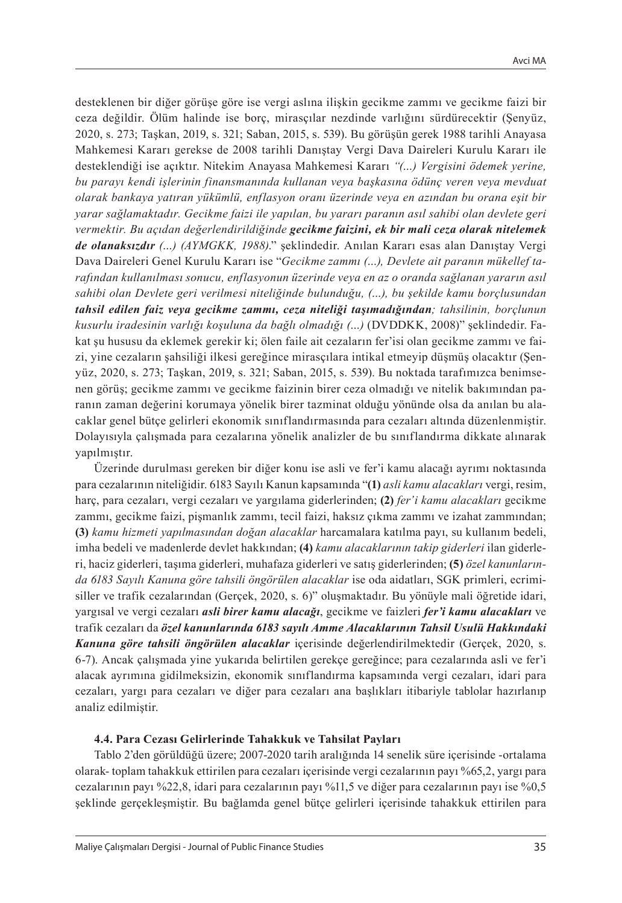desteklenen bir diğer görüşe göre ise vergi aslına ilişkin gecikme zammı ve gecikme faizi bir ceza değildir. Ölüm halinde ise borç, mirasçılar nezdinde varlığını sürdürecektir (Şenyüz, 2020, s. 273; Taşkan, 2019, s. 321; Saban, 2015, s. 539). Bu görüşün gerek 1988 tarihli Anayasa Mahkemesi Kararı gerekse de 2008 tarihli Danıştay Vergi Dava Daireleri Kurulu Kararı ile desteklendiği ise açıktır. Nitekim Anayasa Mahkemesi Kararı *"(…) Vergisini ödemek yerine, bu parayı kendi işlerinin finansmanında kullanan veya başkasına ödünç veren veya mevduat olarak bankaya yatıran yükümlü, enflasyon oranı üzerinde veya en azından bu orana eşit bir yarar sağlamaktadır. Gecikme faizi ile yapılan, bu yararı paranın asıl sahibi olan devlete geri vermektir. Bu açıdan değerlendirildiğinde gecikme faizini, ek bir mali ceza olarak nitelemek de olanaksızdır (…) (AYMGKK, 1988)*." şeklindedir. Anılan Kararı esas alan Danıştay Vergi Dava Daireleri Genel Kurulu Kararı ise "*Gecikme zammı (…), Devlete ait paranın mükellef tarafından kullanılması sonucu, enflasyonun üzerinde veya en az o oranda sağlanan yararın asıl sahibi olan Devlete geri verilmesi niteliğinde bulunduğu, (…), bu şekilde kamu borçlusundan tahsil edilen faiz veya gecikme zammı, ceza niteliği taşımadığından; tahsilinin, borçlunun kusurlu iradesinin varlığı koşuluna da bağlı olmadığı (…)* (DVDDKK, 2008)" şeklindedir. Fakat şu hususu da eklemek gerekir ki; ölen faile ait cezaların fer'isi olan gecikme zammı ve faizi, yine cezaların şahsiliği ilkesi gereğince mirasçılara intikal etmeyip düşmüş olacaktır (Şenyüz, 2020, s. 273; Taşkan, 2019, s. 321; Saban, 2015, s. 539). Bu noktada tarafımızca benimsenen görüş; gecikme zammı ve gecikme faizinin birer ceza olmadığı ve nitelik bakımından paranın zaman değerini korumaya yönelik birer tazminat olduğu yönünde olsa da anılan bu alacaklar genel bütçe gelirleri ekonomik sınıflandırmasında para cezaları altında düzenlenmiştir. Dolayısıyla çalışmada para cezalarına yönelik analizler de bu sınıflandırma dikkate alınarak yapılmıştır.

Üzerinde durulması gereken bir diğer konu ise asli ve fer'i kamu alacağı ayrımı noktasında para cezalarının niteliğidir. 6183 Sayılı Kanun kapsamında "**(1)** *asli kamu alacakları* vergi, resim, harç, para cezaları, vergi cezaları ve yargılama giderlerinden; **(2)** *fer'i kamu alacakları* gecikme zammı, gecikme faizi, pişmanlık zammı, tecil faizi, haksız çıkma zammı ve izahat zammından; **(3)** *kamu hizmeti yapılmasından doğan alacaklar* harcamalara katılma payı, su kullanım bedeli, imha bedeli ve madenlerde devlet hakkından; **(4)** *kamu alacaklarının takip giderleri* ilan giderleri, haciz giderleri, taşıma giderleri, muhafaza giderleri ve satış giderlerinden; **(5)** *özel kanunlarında 6183 Sayılı Kanuna göre tahsili öngörülen alacaklar* ise oda aidatları, SGK primleri, ecrimisiller ve trafik cezalarından (Gerçek, 2020, s. 6)" oluşmaktadır. Bu yönüyle mali öğretide idari, yargısal ve vergi cezaları *asli birer kamu alacağı*, gecikme ve faizleri *fer'i kamu alacakları* ve trafik cezaları da *özel kanunlarında 6183 sayılı Amme Alacaklarının Tahsil Usulü Hakkındaki Kanuna göre tahsili öngörülen alacaklar* içerisinde değerlendirilmektedir (Gerçek, 2020, s. 6-7). Ancak çalışmada yine yukarıda belirtilen gerekçe gereğince; para cezalarında asli ve fer'i alacak ayrımına gidilmeksizin, ekonomik sınıflandırma kapsamında vergi cezaları, idari para cezaları, yargı para cezaları ve diğer para cezaları ana başlıkları itibariyle tablolar hazırlanıp analiz edilmiştir.

#### **4.4. Para Cezası Gelirlerinde Tahakkuk ve Tahsilat Payları**

Tablo 2'den görüldüğü üzere; 2007-2020 tarih aralığında 14 senelik süre içerisinde -ortalama olarak- toplam tahakkuk ettirilen para cezaları içerisinde vergi cezalarının payı %65,2, yargı para cezalarının payı %22,8, idari para cezalarının payı %11,5 ve diğer para cezalarının payı ise %0,5 şeklinde gerçekleşmiştir. Bu bağlamda genel bütçe gelirleri içerisinde tahakkuk ettirilen para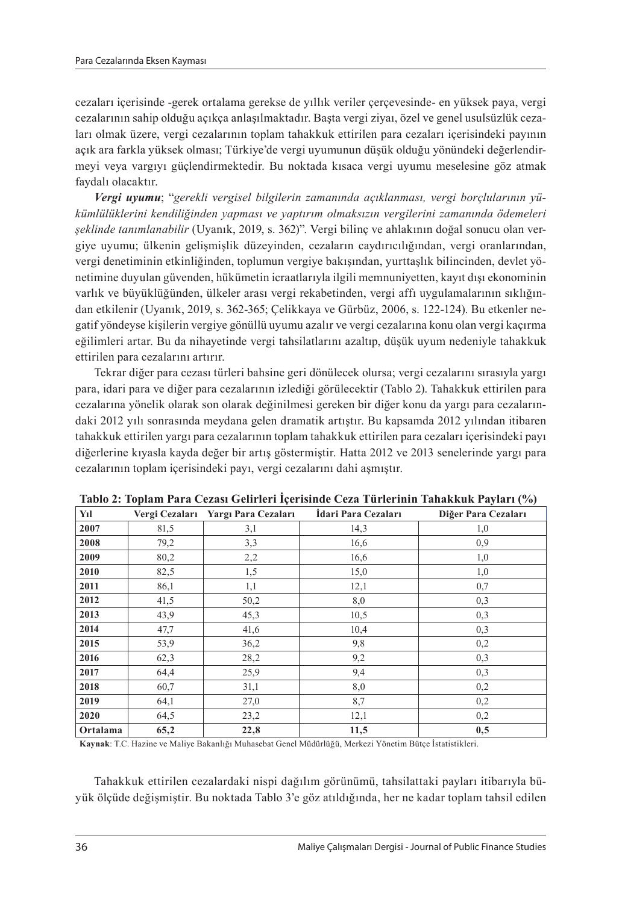cezaları içerisinde -gerek ortalama gerekse de yıllık veriler çerçevesinde- en yüksek paya, vergi cezalarının sahip olduğu açıkça anlaşılmaktadır. Başta vergi ziyaı, özel ve genel usulsüzlük cezaları olmak üzere, vergi cezalarının toplam tahakkuk ettirilen para cezaları içerisindeki payının açık ara farkla yüksek olması; Türkiye'de vergi uyumunun düşük olduğu yönündeki değerlendirmeyi veya vargıyı güçlendirmektedir. Bu noktada kısaca vergi uyumu meselesine göz atmak faydalı olacaktır.

*Vergi uyumu*; "*gerekli vergisel bilgilerin zamanında açıklanması, vergi borçlularının yü kümlülüklerini kendiliğinden yapması ve yaptırım olmaksızın vergilerini zamanında ödemeleri şeklinde tanımlanabilir* (Uyanık, 2019, s. 362)". Vergi bilinç ve ahlakının doğal sonucu olan vergiye uyumu; ülkenin gelişmişlik düzeyinden, cezaların caydırıcılığından, vergi oranlarından, vergi denetiminin etkinliğinden, toplumun vergiye bakışından, yurttaşlık bilincinden, devlet yönetimine duyulan güvenden, hükümetin icraatlarıyla ilgili memnuniyetten, kayıt dışı ekonominin varlık ve büyüklüğünden, ülkeler arası vergi rekabetinden, vergi affı uygulamalarının sıklığından etkilenir (Uyanık, 2019, s. 362-365; Çelikkaya ve Gürbüz, 2006, s. 122-124). Bu etkenler negatif yöndeyse kişilerin vergiye gönüllü uyumu azalır ve vergi cezalarına konu olan vergi kaçırma eğilimleri artar. Bu da nihayetinde vergi tahsilatlarını azaltıp, düşük uyum nedeniyle tahakkuk ettirilen para cezalarını artırır.

Tekrar diğer para cezası türleri bahsine geri dönülecek olursa; vergi cezalarını sırasıyla yargı para, idari para ve diğer para cezalarının izlediği görülecektir (Tablo 2). Tahakkuk ettirilen para cezalarına yönelik olarak son olarak değinilmesi gereken bir diğer konu da yargı para cezalarındaki 2012 yılı sonrasında meydana gelen dramatik artıştır. Bu kapsamda 2012 yılından itibaren tahakkuk ettirilen yargı para cezalarının toplam tahakkuk ettirilen para cezaları içerisindeki payı diğerlerine kıyasla kayda değer bir artış göstermiştir. Hatta 2012 ve 2013 senelerinde yargı para cezalarının toplam içerisindeki payı, vergi cezalarını dahi aşmıştır.

| Yıl      | Vergi Cezaları | Yargı Para Cezaları | Idari Para Cezaları | Diğer Para Cezaları |
|----------|----------------|---------------------|---------------------|---------------------|
| 2007     | 81,5           | 3,1                 | 14,3                | 1,0                 |
| 2008     | 79,2           | 3,3                 | 16,6                | 0.9                 |
| 2009     | 80,2           | 2,2                 | 16,6                | 1,0                 |
| 2010     | 82,5           | 1,5                 | 15,0                | 1,0                 |
| 2011     | 86,1           | 1,1                 | 12,1                | 0,7                 |
| 2012     | 41,5           | 50,2                | 8,0                 | 0,3                 |
| 2013     | 43,9           | 45,3                | 10,5                | 0,3                 |
| 2014     | 47,7           | 41,6                | 10,4                | 0,3                 |
| 2015     | 53,9           | 36,2                | 9,8                 | 0,2                 |
| 2016     | 62,3           | 28,2                | 9,2                 | 0,3                 |
| 2017     | 64,4           | 25,9                | 9,4                 | 0,3                 |
| 2018     | 60,7           | 31,1                | 8,0                 | 0,2                 |
| 2019     | 64,1           | 27,0                | 8,7                 | 0,2                 |
| 2020     | 64,5           | 23,2                | 12,1                | 0,2                 |
| Ortalama | 65,2           | 22,8                | 11,5                | 0,5                 |

**Tablo 2: Toplam Para Cezası Gelirleri İçerisinde Ceza Türlerinin Tahakkuk Payları (%)**

**Kaynak**: T.C. Hazine ve Maliye Bakanlığı Muhasebat Genel Müdürlüğü, Merkezi Yönetim Bütçe İstatistikleri.

Tahakkuk ettirilen cezalardaki nispi dağılım görünümü, tahsilattaki payları itibarıyla büyük ölçüde değişmiştir. Bu noktada Tablo 3'e göz atıldığında, her ne kadar toplam tahsil edilen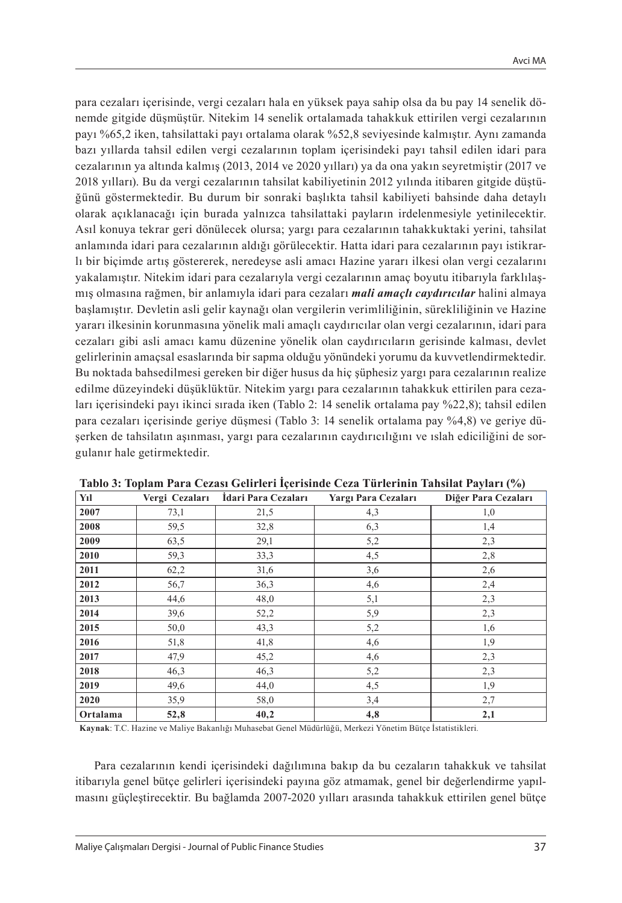para cezaları içerisinde, vergi cezaları hala en yüksek paya sahip olsa da bu pay 14 senelik dönemde gitgide düşmüştür. Nitekim 14 senelik ortalamada tahakkuk ettirilen vergi cezalarının payı %65,2 iken, tahsilattaki payı ortalama olarak %52,8 seviyesinde kalmıştır. Aynı zamanda bazı yıllarda tahsil edilen vergi cezalarının toplam içerisindeki payı tahsil edilen idari para cezalarının ya altında kalmış (2013, 2014 ve 2020 yılları) ya da ona yakın seyretmiştir (2017 ve 2018 yılları). Bu da vergi cezalarının tahsilat kabiliyetinin 2012 yılında itibaren gitgide düştüğünü göstermektedir. Bu durum bir sonraki başlıkta tahsil kabiliyeti bahsinde daha detaylı olarak açıklanacağı için burada yalnızca tahsilattaki payların irdelenmesiyle yetinilecektir. Asıl konuya tekrar geri dönülecek olursa; yargı para cezalarının tahakkuktaki yerini, tahsilat anlamında idari para cezalarının aldığı görülecektir. Hatta idari para cezalarının payı istikrarlı bir biçimde artış göstererek, neredeyse asli amacı Hazine yararı ilkesi olan vergi cezalarını yakalamıştır. Nitekim idari para cezalarıyla vergi cezalarının amaç boyutu itibarıyla farklılaşmış olmasına rağmen, bir anlamıyla idari para cezaları *mali amaçlı caydırıcılar* halini almaya başlamıştır. Devletin asli gelir kaynağı olan vergilerin verimliliğinin, sürekliliğinin ve Hazine yararı ilkesinin korunmasına yönelik mali amaçlı caydırıcılar olan vergi cezalarının, idari para cezaları gibi asli amacı kamu düzenine yönelik olan caydırıcıların gerisinde kalması, devlet gelirlerinin amaçsal esaslarında bir sapma olduğu yönündeki yorumu da kuvvetlendirmektedir. Bu noktada bahsedilmesi gereken bir diğer husus da hiç şüphesiz yargı para cezalarının realize edilme düzeyindeki düşüklüktür. Nitekim yargı para cezalarının tahakkuk ettirilen para cezaları içerisindeki payı ikinci sırada iken (Tablo 2: 14 senelik ortalama pay %22,8); tahsil edilen para cezaları içerisinde geriye düşmesi (Tablo 3: 14 senelik ortalama pay %4,8) ve geriye düşerken de tahsilatın aşınması, yargı para cezalarının caydırıcılığını ve ıslah ediciliğini de sorgulanır hale getirmektedir.

| Yıl      | Vergi Cezaları | İdari Para Cezaları | Yargı Para Cezaları | Diğer Para Cezaları |
|----------|----------------|---------------------|---------------------|---------------------|
| 2007     | 73,1           | 21,5                | 4,3                 | 1,0                 |
| 2008     | 59,5           | 32,8                | 6,3                 | 1,4                 |
| 2009     | 63,5           | 29,1                | 5,2                 | 2,3                 |
| 2010     | 59,3           | 33,3                | 4,5                 | 2,8                 |
| 2011     | 62,2           | 31,6                | 3,6                 | 2,6                 |
| 2012     | 56,7           | 36,3                | 4,6                 | 2,4                 |
| 2013     | 44,6           | 48,0                | 5,1                 | 2,3                 |
| 2014     | 39,6           | 52,2                | 5,9                 | 2,3                 |
| 2015     | 50,0           | 43,3                | 5,2                 | 1,6                 |
| 2016     | 51,8           | 41,8                | 4,6                 | 1,9                 |
| 2017     | 47,9           | 45,2                | 4,6                 | 2,3                 |
| 2018     | 46,3           | 46,3                | 5,2                 | 2,3                 |
| 2019     | 49,6           | 44,0                | 4,5                 | 1,9                 |
| 2020     | 35,9           | 58,0                | 3,4                 | 2,7                 |
| Ortalama | 52,8           | 40,2                | 4,8                 | 2,1                 |

#### **Tablo 3: Toplam Para Cezası Gelirleri İçerisinde Ceza Türlerinin Tahsilat Payları (%)**

**Kaynak**: T.C. Hazine ve Maliye Bakanlığı Muhasebat Genel Müdürlüğü, Merkezi Yönetim Bütçe İstatistikleri*.*

Para cezalarının kendi içerisindeki dağılımına bakıp da bu cezaların tahakkuk ve tahsilat itibarıyla genel bütçe gelirleri içerisindeki payına göz atmamak, genel bir değerlendirme yapılmasını güçleştirecektir. Bu bağlamda 2007-2020 yılları arasında tahakkuk ettirilen genel bütçe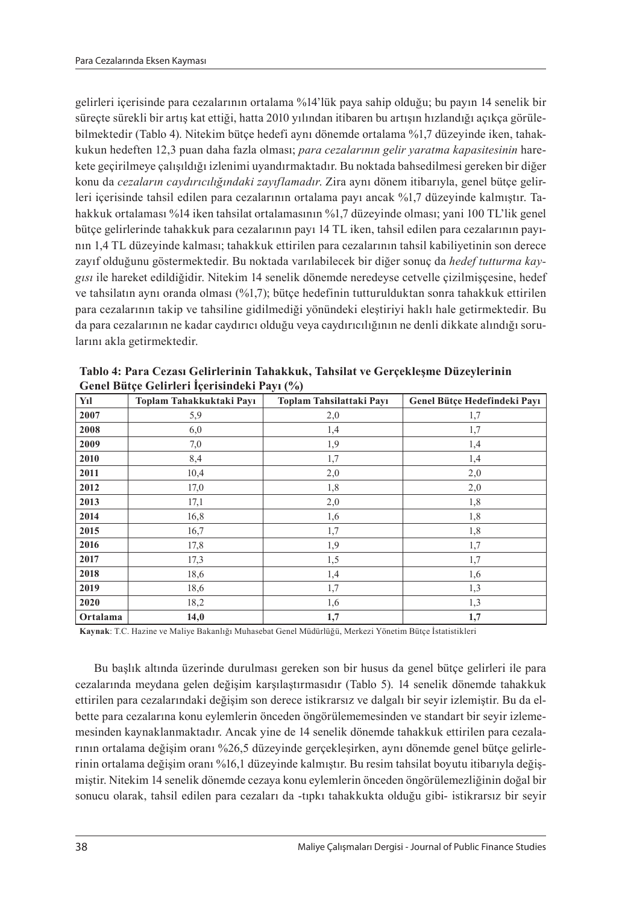gelirleri içerisinde para cezalarının ortalama %14'lük paya sahip olduğu; bu payın 14 senelik bir süreçte sürekli bir artış kat ettiği, hatta 2010 yılından itibaren bu artışın hızlandığı açıkça görülebilmektedir (Tablo 4). Nitekim bütçe hedefi aynı dönemde ortalama %1,7 düzeyinde iken, tahakkukun hedeften 12,3 puan daha fazla olması; *para cezalarının gelir yaratma kapasitesinin* harekete geçirilmeye çalışıldığı izlenimi uyandırmaktadır. Bu noktada bahsedilmesi gereken bir diğer konu da *cezaların caydırıcılığındaki zayıflamadır*. Zira aynı dönem itibarıyla, genel bütçe gelirleri içerisinde tahsil edilen para cezalarının ortalama payı ancak %1,7 düzeyinde kalmıştır. Tahakkuk ortalaması %14 iken tahsilat ortalamasının %1,7 düzeyinde olması; yani 100 TL'lik genel bütçe gelirlerinde tahakkuk para cezalarının payı 14 TL iken, tahsil edilen para cezalarının payının 1,4 TL düzeyinde kalması; tahakkuk ettirilen para cezalarının tahsil kabiliyetinin son derece zayıf olduğunu göstermektedir. Bu noktada varılabilecek bir diğer sonuç da *hedef tutturma kaygısı* ile hareket edildiğidir. Nitekim 14 senelik dönemde neredeyse cetvelle çizilmişçesine, hedef ve tahsilatın aynı oranda olması (%1,7); bütçe hedefinin tutturulduktan sonra tahakkuk ettirilen para cezalarının takip ve tahsiline gidilmediği yönündeki eleştiriyi haklı hale getirmektedir. Bu da para cezalarının ne kadar caydırıcı olduğu veya caydırıcılığının ne denli dikkate alındığı sorularını akla getirmektedir.

| Yıl      | Toplam Tahakkuktaki Payı | Toplam Tahsilattaki Payı | Genel Bütce Hedefindeki Pavı |
|----------|--------------------------|--------------------------|------------------------------|
| 2007     | 5,9                      | 2,0                      | 1,7                          |
| 2008     | 6,0                      | 1,4                      | 1,7                          |
| 2009     | 7,0                      | 1,9                      | 1,4                          |
| 2010     | 8,4                      | 1,7                      | 1,4                          |
| 2011     | 10,4                     | 2,0                      | 2,0                          |
| 2012     | 17,0                     | 1,8                      | 2,0                          |
| 2013     | 17,1                     | 2,0                      | 1,8                          |
| 2014     | 16,8                     | 1,6                      | 1,8                          |
| 2015     | 16,7                     | 1,7                      | 1,8                          |
| 2016     | 17,8                     | 1,9                      | 1,7                          |
| 2017     | 17,3                     | 1,5                      | 1,7                          |
| 2018     | 18,6                     | 1,4                      | 1,6                          |
| 2019     | 18,6                     | 1,7                      | 1,3                          |
| 2020     | 18,2                     | 1,6                      | 1,3                          |
| Ortalama | 14,0                     | 1,7                      | 1,7                          |

**Tablo 4: Para Cezası Gelirlerinin Tahakkuk, Tahsilat ve Gerçekleşme Düzeylerinin Genel Bütçe Gelirleri İçerisindeki Payı (%)**

**Kaynak**: T.C. Hazine ve Maliye Bakanlığı Muhasebat Genel Müdürlüğü, Merkezi Yönetim Bütçe İstatistikleri

Bu başlık altında üzerinde durulması gereken son bir husus da genel bütçe gelirleri ile para cezalarında meydana gelen değişim karşılaştırmasıdır (Tablo 5). 14 senelik dönemde tahakkuk ettirilen para cezalarındaki değişim son derece istikrarsız ve dalgalı bir seyir izlemiştir. Bu da elbette para cezalarına konu eylemlerin önceden öngörülememesinden ve standart bir seyir izlememesinden kaynaklanmaktadır. Ancak yine de 14 senelik dönemde tahakkuk ettirilen para cezalarının ortalama değişim oranı %26,5 düzeyinde gerçekleşirken, aynı dönemde genel bütçe gelirlerinin ortalama değişim oranı %16,1 düzeyinde kalmıştır. Bu resim tahsilat boyutu itibarıyla değişmiştir. Nitekim 14 senelik dönemde cezaya konu eylemlerin önceden öngörülemezliğinin doğal bir sonucu olarak, tahsil edilen para cezaları da -tıpkı tahakkukta olduğu gibi- istikrarsız bir seyir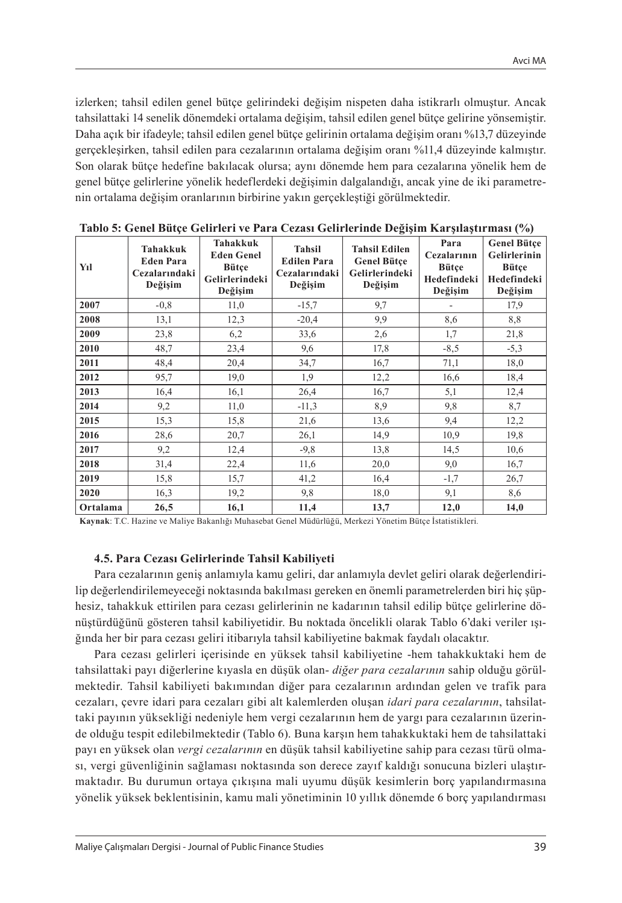izlerken; tahsil edilen genel bütçe gelirindeki değişim nispeten daha istikrarlı olmuştur. Ancak tahsilattaki 14 senelik dönemdeki ortalama değişim, tahsil edilen genel bütçe gelirine yönsemiştir. Daha açık bir ifadeyle; tahsil edilen genel bütçe gelirinin ortalama değişim oranı %13,7 düzeyinde gerçekleşirken, tahsil edilen para cezalarının ortalama değişim oranı %11,4 düzeyinde kalmıştır. Son olarak bütçe hedefine bakılacak olursa; aynı dönemde hem para cezalarına yönelik hem de genel bütçe gelirlerine yönelik hedeflerdeki değişimin dalgalandığı, ancak yine de iki parametrenin ortalama değişim oranlarının birbirine yakın gerçekleştiği görülmektedir.

| Yıl      | <b>Tahakkuk</b><br><b>Eden Para</b><br>Cezalarındaki<br>Değişim | Tahakkuk<br><b>Eden Genel</b><br>Bütçe<br>Gelirlerindeki<br>Değişim | Tahsil<br><b>Edilen Para</b><br>Cezalarındaki<br>Değişim | $\sim$<br><b>Tahsil Edilen</b><br><b>Genel Bütce</b><br>Gelirlerindeki<br>Değişim | Para<br>Cezalarının<br>Bütçe<br>Hedefindeki<br>Değişim | <b>Genel Bütce</b><br>Gelirlerinin<br>Bütçe<br>Hedefindeki<br>Değişim |
|----------|-----------------------------------------------------------------|---------------------------------------------------------------------|----------------------------------------------------------|-----------------------------------------------------------------------------------|--------------------------------------------------------|-----------------------------------------------------------------------|
| 2007     | $-0.8$                                                          | 11,0                                                                | $-15,7$                                                  | 9,7                                                                               |                                                        | 17,9                                                                  |
| 2008     | 13,1                                                            | 12,3                                                                | $-20,4$                                                  | 9.9                                                                               | 8,6                                                    | 8.8                                                                   |
| 2009     | 23,8                                                            | 6,2                                                                 | 33,6                                                     | 2,6                                                                               | 1,7                                                    | 21,8                                                                  |
| 2010     | 48,7                                                            | 23,4                                                                | 9,6                                                      | 17,8                                                                              | $-8,5$                                                 | $-5,3$                                                                |
| 2011     | 48,4                                                            | 20,4                                                                | 34,7                                                     | 16,7                                                                              | 71,1                                                   | 18,0                                                                  |
| 2012     | 95,7                                                            | 19,0                                                                | 1.9                                                      | 12,2                                                                              | 16,6                                                   | 18,4                                                                  |
| 2013     | 16,4                                                            | 16,1                                                                | 26,4                                                     | 16,7                                                                              | 5,1                                                    | 12,4                                                                  |
| 2014     | 9,2                                                             | 11,0                                                                | $-11,3$                                                  | 8.9                                                                               | 9.8                                                    | 8,7                                                                   |
| 2015     | 15,3                                                            | 15,8                                                                | 21,6                                                     | 13,6                                                                              | 9,4                                                    | 12,2                                                                  |
| 2016     | 28,6                                                            | 20,7                                                                | 26,1                                                     | 14,9                                                                              | 10,9                                                   | 19,8                                                                  |
| 2017     | 9,2                                                             | 12,4                                                                | $-9,8$                                                   | 13,8                                                                              | 14,5                                                   | 10,6                                                                  |
| 2018     | 31,4                                                            | 22,4                                                                | 11,6                                                     | 20,0                                                                              | 9,0                                                    | 16,7                                                                  |
| 2019     | 15,8                                                            | 15,7                                                                | 41,2                                                     | 16,4                                                                              | $-1,7$                                                 | 26,7                                                                  |
| 2020     | 16,3                                                            | 19,2                                                                | 9,8                                                      | 18,0                                                                              | 9,1                                                    | 8,6                                                                   |
| Ortalama | 26,5                                                            | 16,1                                                                | 11,4                                                     | 13,7                                                                              | 12,0                                                   | 14,0                                                                  |

**Tablo 5: Genel Bütçe Gelirleri ve Para Cezası Gelirlerinde Değişim Karşılaştırması (%)**

**Kaynak**: T.C. Hazine ve Maliye Bakanlığı Muhasebat Genel Müdürlüğü, Merkezi Yönetim Bütçe İstatistikleri*.* 

#### **4.5. Para Cezası Gelirlerinde Tahsil Kabiliyeti**

Para cezalarının geniş anlamıyla kamu geliri, dar anlamıyla devlet geliri olarak değerlendirilip değerlendirilemeyeceği noktasında bakılması gereken en önemli parametrelerden biri hiç şüphesiz, tahakkuk ettirilen para cezası gelirlerinin ne kadarının tahsil edilip bütçe gelirlerine dönüştürdüğünü gösteren tahsil kabiliyetidir. Bu noktada öncelikli olarak Tablo 6'daki veriler ışığında her bir para cezası geliri itibarıyla tahsil kabiliyetine bakmak faydalı olacaktır.

Para cezası gelirleri içerisinde en yüksek tahsil kabiliyetine -hem tahakkuktaki hem de tahsilattaki payı diğerlerine kıyasla en düşük olan- *diğer para cezalarının* sahip olduğu görülmektedir. Tahsil kabiliyeti bakımından diğer para cezalarının ardından gelen ve trafik para cezaları, çevre idari para cezaları gibi alt kalemlerden oluşan *idari para cezalarının*, tahsilattaki payının yüksekliği nedeniyle hem vergi cezalarının hem de yargı para cezalarının üzerinde olduğu tespit edilebilmektedir (Tablo 6). Buna karşın hem tahakkuktaki hem de tahsilattaki payı en yüksek olan *vergi cezalarının* en düşük tahsil kabiliyetine sahip para cezası türü olması, vergi güvenliğinin sağlaması noktasında son derece zayıf kaldığı sonucuna bizleri ulaştırmaktadır. Bu durumun ortaya çıkışına mali uyumu düşük kesimlerin borç yapılandırmasına yönelik yüksek beklentisinin, kamu mali yönetiminin 10 yıllık dönemde 6 borç yapılandırması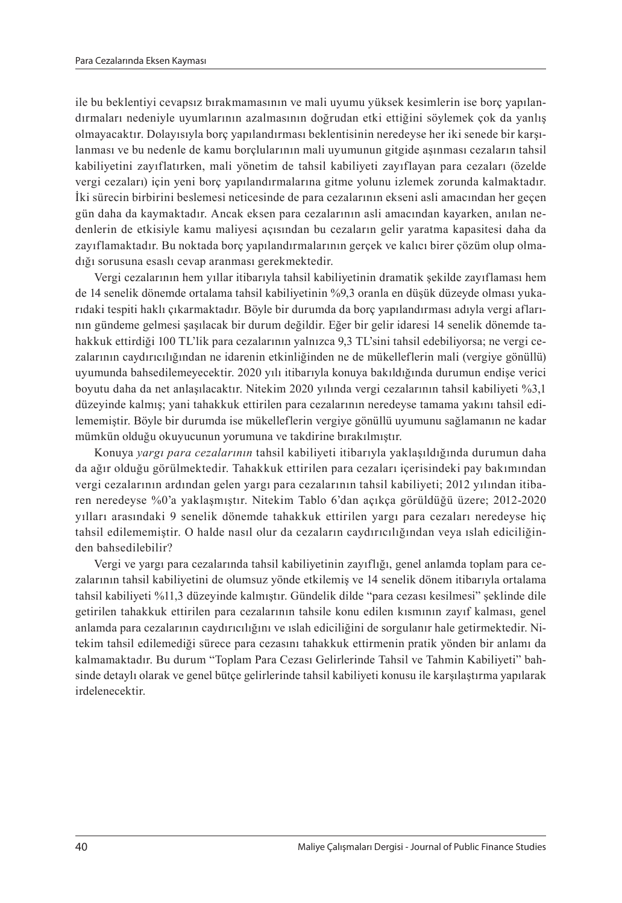ile bu beklentiyi cevapsız bırakmamasının ve mali uyumu yüksek kesimlerin ise borç yapılandırmaları nedeniyle uyumlarının azalmasının doğrudan etki ettiğini söylemek çok da yanlış olmayacaktır. Dolayısıyla borç yapılandırması beklentisinin neredeyse her iki senede bir karşılanması ve bu nedenle de kamu borçlularının mali uyumunun gitgide aşınması cezaların tahsil kabiliyetini zayıflatırken, mali yönetim de tahsil kabiliyeti zayıflayan para cezaları (özelde vergi cezaları) için yeni borç yapılandırmalarına gitme yolunu izlemek zorunda kalmaktadır. İki sürecin birbirini beslemesi neticesinde de para cezalarının ekseni asli amacından her geçen gün daha da kaymaktadır. Ancak eksen para cezalarının asli amacından kayarken, anılan nedenlerin de etkisiyle kamu maliyesi açısından bu cezaların gelir yaratma kapasitesi daha da zayıflamaktadır. Bu noktada borç yapılandırmalarının gerçek ve kalıcı birer çözüm olup olmadığı sorusuna esaslı cevap aranması gerekmektedir.

Vergi cezalarının hem yıllar itibarıyla tahsil kabiliyetinin dramatik şekilde zayıflaması hem de 14 senelik dönemde ortalama tahsil kabiliyetinin %9,3 oranla en düşük düzeyde olması yukarıdaki tespiti haklı çıkarmaktadır. Böyle bir durumda da borç yapılandırması adıyla vergi aflarının gündeme gelmesi şaşılacak bir durum değildir. Eğer bir gelir idaresi 14 senelik dönemde tahakkuk ettirdiği 100 TL'lik para cezalarının yalnızca 9,3 TL'sini tahsil edebiliyorsa; ne vergi cezalarının caydırıcılığından ne idarenin etkinliğinden ne de mükelleflerin mali (vergiye gönüllü) uyumunda bahsedilemeyecektir. 2020 yılı itibarıyla konuya bakıldığında durumun endişe verici boyutu daha da net anlaşılacaktır. Nitekim 2020 yılında vergi cezalarının tahsil kabiliyeti %3,1 düzeyinde kalmış; yani tahakkuk ettirilen para cezalarının neredeyse tamama yakını tahsil edilememiştir. Böyle bir durumda ise mükelleflerin vergiye gönüllü uyumunu sağlamanın ne kadar mümkün olduğu okuyucunun yorumuna ve takdirine bırakılmıştır.

Konuya *yargı para cezalarının* tahsil kabiliyeti itibarıyla yaklaşıldığında durumun daha da ağır olduğu görülmektedir. Tahakkuk ettirilen para cezaları içerisindeki pay bakımından vergi cezalarının ardından gelen yargı para cezalarının tahsil kabiliyeti; 2012 yılından itibaren neredeyse %0'a yaklaşmıştır. Nitekim Tablo 6'dan açıkça görüldüğü üzere; 2012-2020 yılları arasındaki 9 senelik dönemde tahakkuk ettirilen yargı para cezaları neredeyse hiç tahsil edilememiştir. O halde nasıl olur da cezaların caydırıcılığından veya ıslah ediciliğinden bahsedilebilir?

Vergi ve yargı para cezalarında tahsil kabiliyetinin zayıflığı, genel anlamda toplam para cezalarının tahsil kabiliyetini de olumsuz yönde etkilemiş ve 14 senelik dönem itibarıyla ortalama tahsil kabiliyeti %11,3 düzeyinde kalmıştır. Gündelik dilde "para cezası kesilmesi" şeklinde dile getirilen tahakkuk ettirilen para cezalarının tahsile konu edilen kısmının zayıf kalması, genel anlamda para cezalarının caydırıcılığını ve ıslah ediciliğini de sorgulanır hale getirmektedir. Nitekim tahsil edilemediği sürece para cezasını tahakkuk ettirmenin pratik yönden bir anlamı da kalmamaktadır. Bu durum "Toplam Para Cezası Gelirlerinde Tahsil ve Tahmin Kabiliyeti" bahsinde detaylı olarak ve genel bütçe gelirlerinde tahsil kabiliyeti konusu ile karşılaştırma yapılarak irdelenecektir.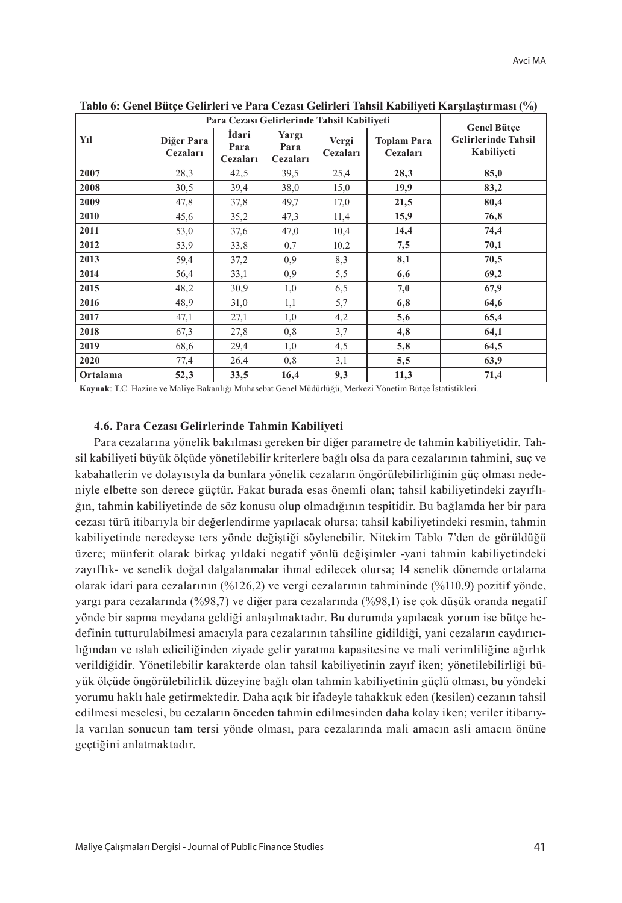|          |                        |                           |                           | Para Cezası Gelirlerinde Tahsil Kabiliyeti |                                | <b>Genel Bütce</b>                       |  |
|----------|------------------------|---------------------------|---------------------------|--------------------------------------------|--------------------------------|------------------------------------------|--|
| Yıl      | Diğer Para<br>Cezaları | İdari<br>Para<br>Cezaları | Yargı<br>Para<br>Cezaları | Vergi<br>Cezaları                          | <b>Toplam Para</b><br>Cezaları | <b>Gelirlerinde Tahsil</b><br>Kabiliyeti |  |
| 2007     | 28,3                   | 42,5                      | 39,5                      | 25,4                                       | 28,3                           | 85,0                                     |  |
| 2008     | 30,5                   | 39,4                      | 38,0                      | 15,0                                       | 19,9                           | 83,2                                     |  |
| 2009     | 47,8                   | 37,8                      | 49,7                      | 17,0                                       | 21,5                           | 80,4                                     |  |
| 2010     | 45,6                   | 35,2                      | 47,3                      | 11,4                                       | 15,9                           | 76,8                                     |  |
| 2011     | 53,0                   | 37,6                      | 47,0                      | 10,4                                       | 14,4                           | 74,4                                     |  |
| 2012     | 53,9                   | 33,8                      | 0,7                       | 10,2                                       | 7,5                            | 70,1                                     |  |
| 2013     | 59,4                   | 37,2                      | 0.9                       | 8,3                                        | 8,1                            | 70,5                                     |  |
| 2014     | 56,4                   | 33,1                      | 0.9                       | 5,5                                        | 6,6                            | 69,2                                     |  |
| 2015     | 48,2                   | 30,9                      | 1,0                       | 6,5                                        | 7,0                            | 67,9                                     |  |
| 2016     | 48,9                   | 31,0                      | 1,1                       | 5,7                                        | 6,8                            | 64,6                                     |  |
| 2017     | 47,1                   | 27,1                      | 1,0                       | 4,2                                        | 5,6                            | 65,4                                     |  |
| 2018     | 67,3                   | 27,8                      | 0,8                       | 3,7                                        | 4,8                            | 64,1                                     |  |
| 2019     | 68,6                   | 29,4                      | 1,0                       | 4,5                                        | 5,8                            | 64,5                                     |  |
| 2020     | 77,4                   | 26,4                      | 0,8                       | 3,1                                        | 5,5                            | 63,9                                     |  |
| Ortalama | 52,3                   | 33,5                      | 16,4                      | 9,3                                        | 11,3                           | 71,4                                     |  |

**Tablo 6: Genel Bütçe Gelirleri ve Para Cezası Gelirleri Tahsil Kabiliyeti Karşılaştırması (%)**

**Kaynak**: T.C. Hazine ve Maliye Bakanlığı Muhasebat Genel Müdürlüğü, Merkezi Yönetim Bütçe İstatistikleri*.* 

#### **4.6. Para Cezası Gelirlerinde Tahmin Kabiliyeti**

Para cezalarına yönelik bakılması gereken bir diğer parametre de tahmin kabiliyetidir. Tahsil kabiliyeti büyük ölçüde yönetilebilir kriterlere bağlı olsa da para cezalarının tahmini, suç ve kabahatlerin ve dolayısıyla da bunlara yönelik cezaların öngörülebilirliğinin güç olması nedeniyle elbette son derece güçtür. Fakat burada esas önemli olan; tahsil kabiliyetindeki zayıflığın, tahmin kabiliyetinde de söz konusu olup olmadığının tespitidir. Bu bağlamda her bir para cezası türü itibarıyla bir değerlendirme yapılacak olursa; tahsil kabiliyetindeki resmin, tahmin kabiliyetinde neredeyse ters yönde değiştiği söylenebilir. Nitekim Tablo 7'den de görüldüğü üzere; münferit olarak birkaç yıldaki negatif yönlü değişimler -yani tahmin kabiliyetindeki zayıflık- ve senelik doğal dalgalanmalar ihmal edilecek olursa; 14 senelik dönemde ortalama olarak idari para cezalarının (%126,2) ve vergi cezalarının tahmininde (%110,9) pozitif yönde, yargı para cezalarında (%98,7) ve diğer para cezalarında (%98,1) ise çok düşük oranda negatif yönde bir sapma meydana geldiği anlaşılmaktadır. Bu durumda yapılacak yorum ise bütçe hedefinin tutturulabilmesi amacıyla para cezalarının tahsiline gidildiği, yani cezaların caydırıcılığından ve ıslah ediciliğinden ziyade gelir yaratma kapasitesine ve mali verimliliğine ağırlık verildiğidir. Yönetilebilir karakterde olan tahsil kabiliyetinin zayıf iken; yönetilebilirliği büyük ölçüde öngörülebilirlik düzeyine bağlı olan tahmin kabiliyetinin güçlü olması, bu yöndeki yorumu haklı hale getirmektedir. Daha açık bir ifadeyle tahakkuk eden (kesilen) cezanın tahsil edilmesi meselesi, bu cezaların önceden tahmin edilmesinden daha kolay iken; veriler itibarıyla varılan sonucun tam tersi yönde olması, para cezalarında mali amacın asli amacın önüne geçtiğini anlatmaktadır.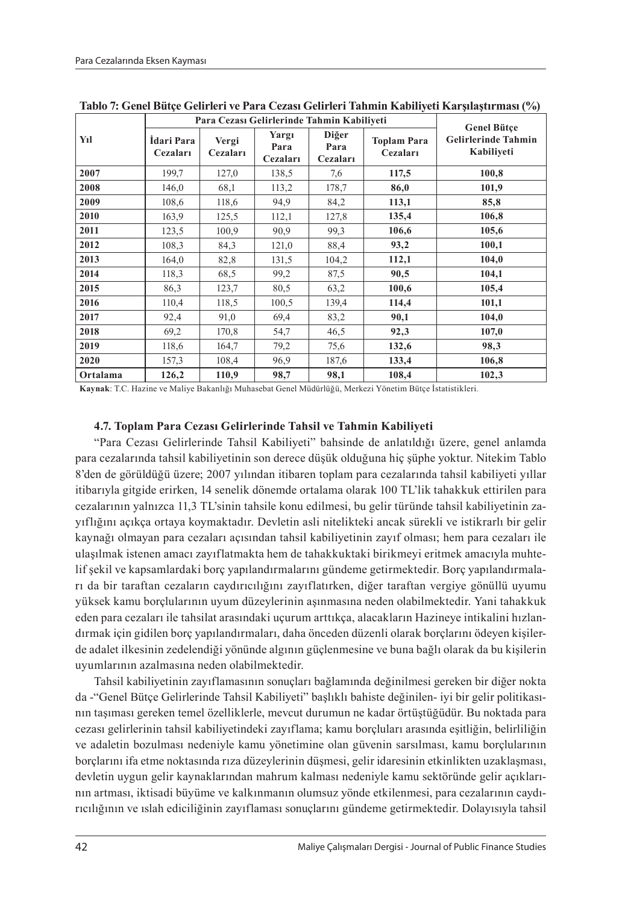|          |                        | Para Cezası Gelirlerinde Tahmin Kabiliyeti | <b>Genel Bütce</b>        |                           |                                |                                          |  |
|----------|------------------------|--------------------------------------------|---------------------------|---------------------------|--------------------------------|------------------------------------------|--|
| Yıl      | İdari Para<br>Cezaları | Vergi<br>Cezaları                          | Yargı<br>Para<br>Cezaları | Diğer<br>Para<br>Cezaları | <b>Toplam Para</b><br>Cezaları | <b>Gelirlerinde Tahmin</b><br>Kabiliveti |  |
| 2007     | 199,7                  | 127,0                                      | 138,5                     | 7,6                       | 117,5                          | 100,8                                    |  |
| 2008     | 146,0                  | 68,1                                       | 113,2                     | 178,7                     | 86,0                           | 101,9                                    |  |
| 2009     | 108,6                  | 118,6                                      | 94,9                      | 84,2                      | 113,1                          | 85,8                                     |  |
| 2010     | 163,9                  | 125,5                                      | 112,1                     | 127,8                     | 135,4                          | 106,8                                    |  |
| 2011     | 123,5                  | 100,9                                      | 90,9                      | 99.3                      | 106,6                          | 105,6                                    |  |
| 2012     | 108,3                  | 84,3                                       | 121,0                     | 88,4                      | 93,2                           | 100,1                                    |  |
| 2013     | 164,0                  | 82,8                                       | 131,5                     | 104,2                     | 112,1                          | 104,0                                    |  |
| 2014     | 118,3                  | 68,5                                       | 99,2                      | 87,5                      | 90,5                           | 104,1                                    |  |
| 2015     | 86,3                   | 123,7                                      | 80,5                      | 63,2                      | 100,6                          | 105,4                                    |  |
| 2016     | 110,4                  | 118,5                                      | 100,5                     | 139,4                     | 114,4                          | 101,1                                    |  |
| 2017     | 92,4                   | 91,0                                       | 69,4                      | 83,2                      | 90,1                           | 104,0                                    |  |
| 2018     | 69,2                   | 170,8                                      | 54,7                      | 46,5                      | 92,3                           | 107,0                                    |  |
| 2019     | 118,6                  | 164,7                                      | 79,2                      | 75,6                      | 132,6                          | 98,3                                     |  |
| 2020     | 157,3                  | 108,4                                      | 96,9                      | 187,6                     | 133,4                          | 106,8                                    |  |
| Ortalama | 126,2                  | 110,9                                      | 98,7                      | 98,1                      | 108,4                          | 102,3                                    |  |

**Tablo 7: Genel Bütçe Gelirleri ve Para Cezası Gelirleri Tahmin Kabiliyeti Karşılaştırması (%)**

**Kaynak**: T.C. Hazine ve Maliye Bakanlığı Muhasebat Genel Müdürlüğü, Merkezi Yönetim Bütçe İstatistikleri*.* 

#### **4.7. Toplam Para Cezası Gelirlerinde Tahsil ve Tahmin Kabiliyeti**

"Para Cezası Gelirlerinde Tahsil Kabiliyeti" bahsinde de anlatıldığı üzere, genel anlamda para cezalarında tahsil kabiliyetinin son derece düşük olduğuna hiç şüphe yoktur. Nitekim Tablo 8'den de görüldüğü üzere; 2007 yılından itibaren toplam para cezalarında tahsil kabiliyeti yıllar itibarıyla gitgide erirken, 14 senelik dönemde ortalama olarak 100 TL'lik tahakkuk ettirilen para cezalarının yalnızca 11,3 TL'sinin tahsile konu edilmesi, bu gelir türünde tahsil kabiliyetinin zayıflığını açıkça ortaya koymaktadır. Devletin asli nitelikteki ancak sürekli ve istikrarlı bir gelir kaynağı olmayan para cezaları açısından tahsil kabiliyetinin zayıf olması; hem para cezaları ile ulaşılmak istenen amacı zayıflatmakta hem de tahakkuktaki birikmeyi eritmek amacıyla muhtelif şekil ve kapsamlardaki borç yapılandırmalarını gündeme getirmektedir. Borç yapılandırmaları da bir taraftan cezaların caydırıcılığını zayıflatırken, diğer taraftan vergiye gönüllü uyumu yüksek kamu borçlularının uyum düzeylerinin aşınmasına neden olabilmektedir. Yani tahakkuk eden para cezaları ile tahsilat arasındaki uçurum arttıkça, alacakların Hazineye intikalini hızlandırmak için gidilen borç yapılandırmaları, daha önceden düzenli olarak borçlarını ödeyen kişilerde adalet ilkesinin zedelendiği yönünde algının güçlenmesine ve buna bağlı olarak da bu kişilerin uyumlarının azalmasına neden olabilmektedir.

Tahsil kabiliyetinin zayıflamasının sonuçları bağlamında değinilmesi gereken bir diğer nokta da -"Genel Bütçe Gelirlerinde Tahsil Kabiliyeti" başlıklı bahiste değinilen- iyi bir gelir politikasının taşıması gereken temel özelliklerle, mevcut durumun ne kadar örtüştüğüdür. Bu noktada para cezası gelirlerinin tahsil kabiliyetindeki zayıflama; kamu borçluları arasında eşitliğin, belirliliğin ve adaletin bozulması nedeniyle kamu yönetimine olan güvenin sarsılması, kamu borçlularının borçlarını ifa etme noktasında rıza düzeylerinin düşmesi, gelir idaresinin etkinlikten uzaklaşması, devletin uygun gelir kaynaklarından mahrum kalması nedeniyle kamu sektöründe gelir açıklarının artması, iktisadi büyüme ve kalkınmanın olumsuz yönde etkilenmesi, para cezalarının caydırıcılığının ve ıslah ediciliğinin zayıflaması sonuçlarını gündeme getirmektedir. Dolayısıyla tahsil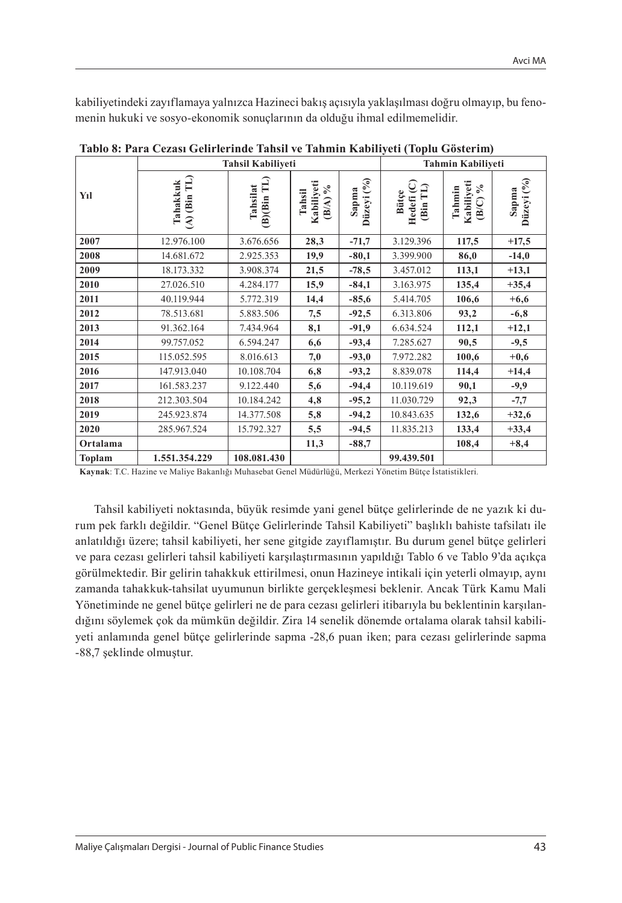kabiliyetindeki zayıflamaya yalnızca Hazineci bakış açısıyla yaklaşılması doğru olmayıp, bu fenomenin hukuki ve sosyo-ekonomik sonuçlarının da olduğu ihmal edilmemelidir.

|          |                                                   | <b>Tahsil Kabiliveti</b>       |                                       |                     | <b>Tahmin Kabiliveti</b>                                        |                                       |                        |  |
|----------|---------------------------------------------------|--------------------------------|---------------------------------------|---------------------|-----------------------------------------------------------------|---------------------------------------|------------------------|--|
| Yıl      | (Bin TL)<br>Tahakkuk<br>$\widetilde{\mathcal{E}}$ | $(B)$ $(Bin$ $TL)$<br>Tahsilat | Kabiliyeti<br>$\%$<br>Tahsil<br>(B/A) | Düzeyi (%)<br>Sapma | Hedefi <sub>(C)</sub><br>ุุุุุุุุุุุ<br><b>Bütce</b><br>(Bin T) | Kabiliyeti<br>$\%$<br>Tahmin<br>(B/C) | Düzeyi $(°0)$<br>Sapma |  |
| 2007     | 12.976.100                                        | 3.676.656                      | 28,3                                  | $-71,7$             | 3.129.396                                                       | 117,5                                 | $+17,5$                |  |
| 2008     | 14.681.672                                        | 2.925.353                      | 19,9                                  | $-80,1$             | 3.399.900                                                       | 86,0                                  | $-14,0$                |  |
| 2009     | 18.173.332                                        | 3.908.374                      | 21,5                                  | $-78,5$             | 3.457.012                                                       | 113,1                                 | $+13,1$                |  |
| 2010     | 27.026.510                                        | 4.284.177                      | 15,9                                  | $-84,1$             | 3.163.975                                                       | 135,4                                 | $+35,4$                |  |
| 2011     | 40.119.944                                        | 5.772.319                      | 14,4                                  | $-85,6$             | 5.414.705                                                       | 106,6                                 | $+6,6$                 |  |
| 2012     | 78.513.681                                        | 5.883.506                      | 7,5                                   | $-92,5$             | 6.313.806                                                       | 93,2                                  | $-6,8$                 |  |
| 2013     | 91.362.164                                        | 7.434.964                      | 8,1                                   | $-91,9$             | 6.634.524                                                       | 112,1                                 | $+12,1$                |  |
| 2014     | 99.757.052                                        | 6.594.247                      | 6,6                                   | $-93,4$             | 7.285.627                                                       | 90,5                                  | $-9,5$                 |  |
| 2015     | 115.052.595                                       | 8.016.613                      | 7,0                                   | $-93,0$             | 7.972.282                                                       | 100,6                                 | $+0,6$                 |  |
| 2016     | 147.913.040                                       | 10.108.704                     | 6,8                                   | $-93,2$             | 8.839.078                                                       | 114,4                                 | $+14,4$                |  |
| 2017     | 161.583.237                                       | 9.122.440                      | 5,6                                   | $-94,4$             | 10.119.619                                                      | 90,1                                  | $-9,9$                 |  |
| 2018     | 212.303.504                                       | 10.184.242                     | 4,8                                   | $-95,2$             | 11.030.729                                                      | 92,3                                  | $-7,7$                 |  |
| 2019     | 245.923.874                                       | 14.377.508                     | 5,8                                   | $-94,2$             | 10.843.635                                                      | 132,6                                 | $+32,6$                |  |
| 2020     | 285.967.524                                       | 15.792.327                     | 5,5                                   | $-94,5$             | 11.835.213                                                      | 133,4                                 | $+33,4$                |  |
| Ortalama |                                                   |                                | 11,3                                  | $-88,7$             |                                                                 | 108,4                                 | $+8,4$                 |  |
| Toplam   | 1.551.354.229                                     | 108.081.430                    |                                       |                     | 99.439.501                                                      |                                       |                        |  |

**Tablo 8: Para Cezası Gelirlerinde Tahsil ve Tahmin Kabiliyeti (Toplu Gösterim)**

**Kaynak**: T.C. Hazine ve Maliye Bakanlığı Muhasebat Genel Müdürlüğü, Merkezi Yönetim Bütçe İstatistikleri*.*

Tahsil kabiliyeti noktasında, büyük resimde yani genel bütçe gelirlerinde de ne yazık ki durum pek farklı değildir. "Genel Bütçe Gelirlerinde Tahsil Kabiliyeti" başlıklı bahiste tafsilatı ile anlatıldığı üzere; tahsil kabiliyeti, her sene gitgide zayıflamıştır. Bu durum genel bütçe gelirleri ve para cezası gelirleri tahsil kabiliyeti karşılaştırmasının yapıldığı Tablo 6 ve Tablo 9'da açıkça görülmektedir. Bir gelirin tahakkuk ettirilmesi, onun Hazineye intikali için yeterli olmayıp, aynı zamanda tahakkuk-tahsilat uyumunun birlikte gerçekleşmesi beklenir. Ancak Türk Kamu Mali Yönetiminde ne genel bütçe gelirleri ne de para cezası gelirleri itibarıyla bu beklentinin karşılandığını söylemek çok da mümkün değildir. Zira 14 senelik dönemde ortalama olarak tahsil kabiliyeti anlamında genel bütçe gelirlerinde sapma -28,6 puan iken; para cezası gelirlerinde sapma -88,7 şeklinde olmuştur.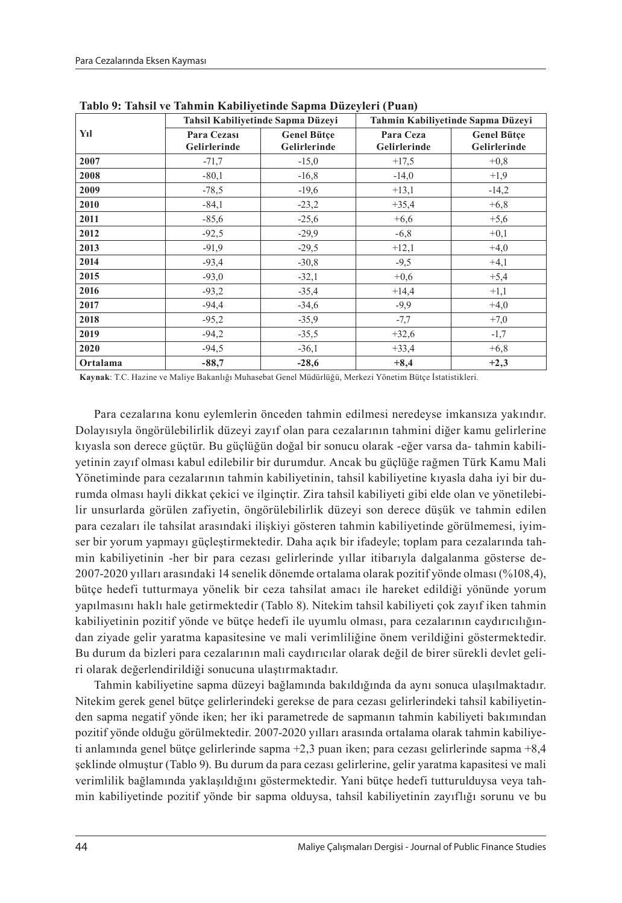|          |                             | Tahsil Kabiliyetinde Sapma Düzeyi  | Tahmin Kabiliyetinde Sapma Düzeyi |                                    |  |
|----------|-----------------------------|------------------------------------|-----------------------------------|------------------------------------|--|
| Yıl      | Para Cezasi<br>Gelirlerinde | <b>Genel Bütce</b><br>Gelirlerinde | Para Ceza<br>Gelirlerinde         | <b>Genel Bütçe</b><br>Gelirlerinde |  |
| 2007     | $-71,7$                     | $-15,0$                            | $+17,5$                           | $+0,8$                             |  |
| 2008     | $-80,1$                     | $-16,8$                            | $-14,0$                           | $+1,9$                             |  |
| 2009     | $-78,5$                     | $-19,6$                            | $+13.1$                           | $-14,2$                            |  |
| 2010     | $-84,1$                     | $-23,2$                            | $+35.4$                           | $+6,8$                             |  |
| 2011     | $-85,6$                     | $-25,6$                            | $+6,6$                            | $+5,6$                             |  |
| 2012     | $-92,5$                     | $-29,9$                            | $-6, 8$                           | $+0,1$                             |  |
| 2013     | $-91.9$                     | $-29,5$                            | $+12,1$                           | $+4,0$                             |  |
| 2014     | $-93.4$                     | $-30,8$                            | $-9,5$                            | $+4,1$                             |  |
| 2015     | $-93.0$                     | $-32,1$                            | $+0.6$                            | $+5,4$                             |  |
| 2016     | $-93.2$                     | $-35,4$                            | $+14,4$                           | $+1,1$                             |  |
| 2017     | $-94.4$                     | $-34,6$                            | $-9,9$                            | $+4,0$                             |  |
| 2018     | $-95,2$                     | $-35,9$                            | $-7,7$                            | $+7,0$                             |  |
| 2019     | $-94,2$                     | $-35,5$                            | $+32,6$                           | $-1,7$                             |  |
| 2020     | $-94.5$                     | $-36,1$                            | $+33.4$                           | $+6,8$                             |  |
| Ortalama | $-88,7$                     | $-28,6$                            | $+8,4$                            | $+2,3$                             |  |

**Tablo 9: Tahsil ve Tahmin Kabiliyetinde Sapma Düzeyleri (Puan)**

**Kaynak**: T.C. Hazine ve Maliye Bakanlığı Muhasebat Genel Müdürlüğü, Merkezi Yönetim Bütçe İstatistikleri*.*

Para cezalarına konu eylemlerin önceden tahmin edilmesi neredeyse imkansıza yakındır. Dolayısıyla öngörülebilirlik düzeyi zayıf olan para cezalarının tahmini diğer kamu gelirlerine kıyasla son derece güçtür. Bu güçlüğün doğal bir sonucu olarak -eğer varsa da- tahmin kabiliyetinin zayıf olması kabul edilebilir bir durumdur. Ancak bu güçlüğe rağmen Türk Kamu Mali Yönetiminde para cezalarının tahmin kabiliyetinin, tahsil kabiliyetine kıyasla daha iyi bir durumda olması hayli dikkat çekici ve ilginçtir. Zira tahsil kabiliyeti gibi elde olan ve yönetilebilir unsurlarda görülen zafiyetin, öngörülebilirlik düzeyi son derece düşük ve tahmin edilen para cezaları ile tahsilat arasındaki ilişkiyi gösteren tahmin kabiliyetinde görülmemesi, iyimser bir yorum yapmayı güçleştirmektedir. Daha açık bir ifadeyle; toplam para cezalarında tahmin kabiliyetinin -her bir para cezası gelirlerinde yıllar itibarıyla dalgalanma gösterse de-2007-2020 yılları arasındaki 14 senelik dönemde ortalama olarak pozitif yönde olması (%108,4), bütçe hedefi tutturmaya yönelik bir ceza tahsilat amacı ile hareket edildiği yönünde yorum yapılmasını haklı hale getirmektedir (Tablo 8). Nitekim tahsil kabiliyeti çok zayıf iken tahmin kabiliyetinin pozitif yönde ve bütçe hedefi ile uyumlu olması, para cezalarının caydırıcılığından ziyade gelir yaratma kapasitesine ve mali verimliliğine önem verildiğini göstermektedir. Bu durum da bizleri para cezalarının mali caydırıcılar olarak değil de birer sürekli devlet geliri olarak değerlendirildiği sonucuna ulaştırmaktadır.

Tahmin kabiliyetine sapma düzeyi bağlamında bakıldığında da aynı sonuca ulaşılmaktadır. Nitekim gerek genel bütçe gelirlerindeki gerekse de para cezası gelirlerindeki tahsil kabiliyetinden sapma negatif yönde iken; her iki parametrede de sapmanın tahmin kabiliyeti bakımından pozitif yönde olduğu görülmektedir. 2007-2020 yılları arasında ortalama olarak tahmin kabiliyeti anlamında genel bütçe gelirlerinde sapma +2,3 puan iken; para cezası gelirlerinde sapma +8,4 şeklinde olmuştur (Tablo 9). Bu durum da para cezası gelirlerine, gelir yaratma kapasitesi ve mali verimlilik bağlamında yaklaşıldığını göstermektedir. Yani bütçe hedefi tutturulduysa veya tahmin kabiliyetinde pozitif yönde bir sapma olduysa, tahsil kabiliyetinin zayıflığı sorunu ve bu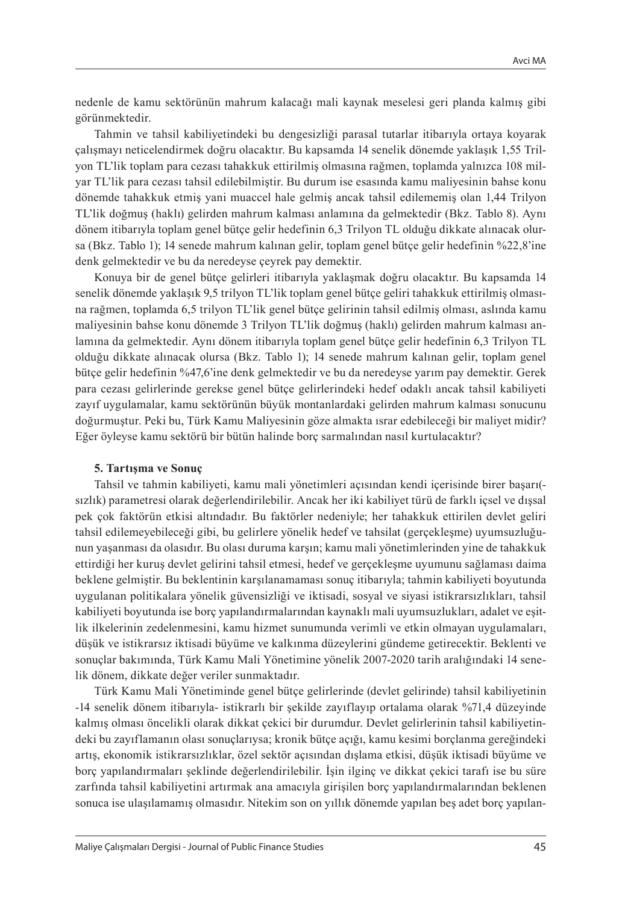nedenle de kamu sektörünün mahrum kalacağı mali kaynak meselesi geri planda kalmış gibi görünmektedir.

Tahmin ve tahsil kabiliyetindeki bu dengesizliği parasal tutarlar itibarıyla ortaya koyarak çalışmayı neticelendirmek doğru olacaktır. Bu kapsamda 14 senelik dönemde yaklaşık 1,55 Trilyon TL'lik toplam para cezası tahakkuk ettirilmiş olmasına rağmen, toplamda yalnızca 108 milyar TL'lik para cezası tahsil edilebilmiştir. Bu durum ise esasında kamu maliyesinin bahse konu dönemde tahakkuk etmiş yani muaccel hale gelmiş ancak tahsil edilememiş olan 1,44 Trilyon TL'lik doğmuş (haklı) gelirden mahrum kalması anlamına da gelmektedir (Bkz. Tablo 8). Aynı dönem itibarıyla toplam genel bütçe gelir hedefinin 6,3 Trilyon TL olduğu dikkate alınacak olursa (Bkz. Tablo 1); 14 senede mahrum kalınan gelir, toplam genel bütçe gelir hedefinin %22,8'ine denk gelmektedir ve bu da neredeyse çeyrek pay demektir.

Konuya bir de genel bütçe gelirleri itibarıyla yaklaşmak doğru olacaktır. Bu kapsamda 14 senelik dönemde yaklaşık 9,5 trilyon TL'lik toplam genel bütçe geliri tahakkuk ettirilmiş olmasına rağmen, toplamda 6,5 trilyon TL'lik genel bütçe gelirinin tahsil edilmiş olması, aslında kamu maliyesinin bahse konu dönemde 3 Trilyon TL'lik doğmuş (haklı) gelirden mahrum kalması anlamına da gelmektedir. Aynı dönem itibarıyla toplam genel bütçe gelir hedefinin 6,3 Trilyon TL olduğu dikkate alınacak olursa (Bkz. Tablo 1); 14 senede mahrum kalınan gelir, toplam genel bütçe gelir hedefinin %47,6'ine denk gelmektedir ve bu da neredeyse yarım pay demektir. Gerek para cezası gelirlerinde gerekse genel bütçe gelirlerindeki hedef odaklı ancak tahsil kabiliyeti zayıf uygulamalar, kamu sektörünün büyük montanlardaki gelirden mahrum kalması sonucunu doğurmuştur. Peki bu, Türk Kamu Maliyesinin göze almakta ısrar edebileceği bir maliyet midir? Eğer öyleyse kamu sektörü bir bütün halinde borç sarmalından nasıl kurtulacaktır?

#### **5. Tartışma ve Sonuç**

Tahsil ve tahmin kabiliyeti, kamu mali yönetimleri açısından kendi içerisinde birer başarı( sızlık) parametresi olarak değerlendirilebilir. Ancak her iki kabiliyet türü de farklı içsel ve dışsal pek çok faktörün etkisi altındadır. Bu faktörler nedeniyle; her tahakkuk ettirilen devlet geliri tahsil edilemeyebileceği gibi, bu gelirlere yönelik hedef ve tahsilat (gerçekleşme) uyumsuzluğunun yaşanması da olasıdır. Bu olası duruma karşın; kamu mali yönetimlerinden yine de tahakkuk ettirdiği her kuruş devlet gelirini tahsil etmesi, hedef ve gerçekleşme uyumunu sağlaması daima beklene gelmiştir. Bu beklentinin karşılanamaması sonuç itibarıyla; tahmin kabiliyeti boyutunda uygulanan politikalara yönelik güvensizliği ve iktisadi, sosyal ve siyasi istikrarsızlıkları, tahsil kabiliyeti boyutunda ise borç yapılandırmalarından kaynaklı mali uyumsuzlukları, adalet ve eşitlik ilkelerinin zedelenmesini, kamu hizmet sunumunda verimli ve etkin olmayan uygulamaları, düşük ve istikrarsız iktisadi büyüme ve kalkınma düzeylerini gündeme getirecektir. Beklenti ve sonuçlar bakımında, Türk Kamu Mali Yönetimine yönelik 2007-2020 tarih aralığındaki 14 senelik dönem, dikkate değer veriler sunmaktadır.

Türk Kamu Mali Yönetiminde genel bütçe gelirlerinde (devlet gelirinde) tahsil kabiliyetinin -14 senelik dönem itibarıyla- istikrarlı bir şekilde zayıflayıp ortalama olarak %71,4 düzeyinde kalmış olması öncelikli olarak dikkat çekici bir durumdur. Devlet gelirlerinin tahsil kabiliyetindeki bu zayıflamanın olası sonuçlarıysa; kronik bütçe açığı, kamu kesimi borçlanma gereğindeki artış, ekonomik istikrarsızlıklar, özel sektör açısından dışlama etkisi, düşük iktisadi büyüme ve borç yapılandırmaları şeklinde değerlendirilebilir. İşin ilginç ve dikkat çekici tarafı ise bu süre zarfında tahsil kabiliyetini artırmak ana amacıyla girişilen borç yapılandırmalarından beklenen sonuca ise ulaşılamamış olmasıdır. Nitekim son on yıllık dönemde yapılan beş adet borç yapılan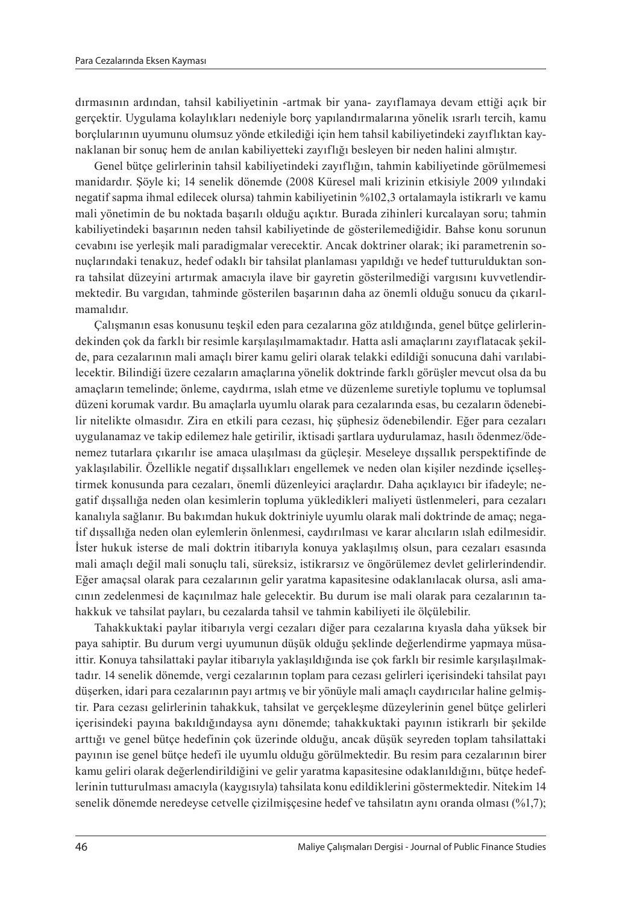dırmasının ardından, tahsil kabiliyetinin -artmak bir yana- zayıflamaya devam ettiği açık bir gerçektir. Uygulama kolaylıkları nedeniyle borç yapılandırmalarına yönelik ısrarlı tercih, kamu borçlularının uyumunu olumsuz yönde etkilediği için hem tahsil kabiliyetindeki zayıflıktan kaynaklanan bir sonuç hem de anılan kabiliyetteki zayıflığı besleyen bir neden halini almıştır.

Genel bütçe gelirlerinin tahsil kabiliyetindeki zayıflığın, tahmin kabiliyetinde görülmemesi manidardır. Şöyle ki; 14 senelik dönemde (2008 Küresel mali krizinin etkisiyle 2009 yılındaki negatif sapma ihmal edilecek olursa) tahmin kabiliyetinin %102,3 ortalamayla istikrarlı ve kamu mali yönetimin de bu noktada başarılı olduğu açıktır. Burada zihinleri kurcalayan soru; tahmin kabiliyetindeki başarının neden tahsil kabiliyetinde de gösterilemediğidir. Bahse konu sorunun cevabını ise yerleşik mali paradigmalar verecektir. Ancak doktriner olarak; iki parametrenin sonuçlarındaki tenakuz, hedef odaklı bir tahsilat planlaması yapıldığı ve hedef tutturulduktan sonra tahsilat düzeyini artırmak amacıyla ilave bir gayretin gösterilmediği vargısını kuvvetlendirmektedir. Bu vargıdan, tahminde gösterilen başarının daha az önemli olduğu sonucu da çıkarılmamalıdır.

Çalışmanın esas konusunu teşkil eden para cezalarına göz atıldığında, genel bütçe gelirlerindekinden çok da farklı bir resimle karşılaşılmamaktadır. Hatta asli amaçlarını zayıflatacak şekilde, para cezalarının mali amaçlı birer kamu geliri olarak telakki edildiği sonucuna dahi varılabilecektir. Bilindiği üzere cezaların amaçlarına yönelik doktrinde farklı görüşler mevcut olsa da bu amaçların temelinde; önleme, caydırma, ıslah etme ve düzenleme suretiyle toplumu ve toplumsal düzeni korumak vardır. Bu amaçlarla uyumlu olarak para cezalarında esas, bu cezaların ödenebilir nitelikte olmasıdır. Zira en etkili para cezası, hiç şüphesiz ödenebilendir. Eğer para cezaları uygulanamaz ve takip edilemez hale getirilir, iktisadi şartlara uydurulamaz, hasılı ödenmez/ödenemez tutarlara çıkarılır ise amaca ulaşılması da güçleşir. Meseleye dışsallık perspektifinde de yaklaşılabilir. Özellikle negatif dışsallıkları engellemek ve neden olan kişiler nezdinde içselleştirmek konusunda para cezaları, önemli düzenleyici araçlardır. Daha açıklayıcı bir ifadeyle; negatif dışsallığa neden olan kesimlerin topluma yükledikleri maliyeti üstlenmeleri, para cezaları kanalıyla sağlanır. Bu bakımdan hukuk doktriniyle uyumlu olarak mali doktrinde de amaç; negatif dışsallığa neden olan eylemlerin önlenmesi, caydırılması ve karar alıcıların ıslah edilmesidir. İster hukuk isterse de mali doktrin itibarıyla konuya yaklaşılmış olsun, para cezaları esasında mali amaçlı değil mali sonuçlu tali, süreksiz, istikrarsız ve öngörülemez devlet gelirlerindendir. Eğer amaçsal olarak para cezalarının gelir yaratma kapasitesine odaklanılacak olursa, asli amacının zedelenmesi de kaçınılmaz hale gelecektir. Bu durum ise mali olarak para cezalarının tahakkuk ve tahsilat payları, bu cezalarda tahsil ve tahmin kabiliyeti ile ölçülebilir.

Tahakkuktaki paylar itibarıyla vergi cezaları diğer para cezalarına kıyasla daha yüksek bir paya sahiptir. Bu durum vergi uyumunun düşük olduğu şeklinde değerlendirme yapmaya müsaittir. Konuya tahsilattaki paylar itibarıyla yaklaşıldığında ise çok farklı bir resimle karşılaşılmaktadır. 14 senelik dönemde, vergi cezalarının toplam para cezası gelirleri içerisindeki tahsilat payı düşerken, idari para cezalarının payı artmış ve bir yönüyle mali amaçlı caydırıcılar haline gelmiştir. Para cezası gelirlerinin tahakkuk, tahsilat ve gerçekleşme düzeylerinin genel bütçe gelirleri içerisindeki payına bakıldığındaysa aynı dönemde; tahakkuktaki payının istikrarlı bir şekilde arttığı ve genel bütçe hedefinin çok üzerinde olduğu, ancak düşük seyreden toplam tahsilattaki payının ise genel bütçe hedefi ile uyumlu olduğu görülmektedir. Bu resim para cezalarının birer kamu geliri olarak değerlendirildiğini ve gelir yaratma kapasitesine odaklanıldığını, bütçe hedeflerinin tutturulması amacıyla (kaygısıyla) tahsilata konu edildiklerini göstermektedir. Nitekim 14 senelik dönemde neredeyse cetvelle cizilmişçesine hedef ve tahsilatın aynı oranda olması (%1,7);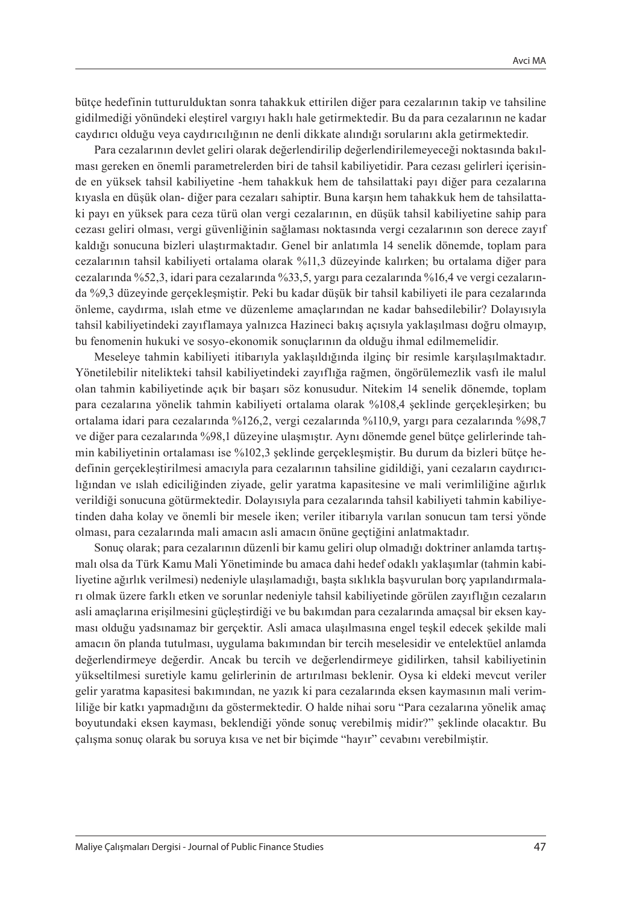bütçe hedefinin tutturulduktan sonra tahakkuk ettirilen diğer para cezalarının takip ve tahsiline gidilmediği yönündeki eleştirel vargıyı haklı hale getirmektedir. Bu da para cezalarının ne kadar caydırıcı olduğu veya caydırıcılığının ne denli dikkate alındığı sorularını akla getirmektedir.

Para cezalarının devlet geliri olarak değerlendirilip değerlendirilemeyeceği noktasında bakılması gereken en önemli parametrelerden biri de tahsil kabiliyetidir. Para cezası gelirleri içerisinde en yüksek tahsil kabiliyetine -hem tahakkuk hem de tahsilattaki payı diğer para cezalarına kıyasla en düşük olan- diğer para cezaları sahiptir. Buna karşın hem tahakkuk hem de tahsilattaki payı en yüksek para ceza türü olan vergi cezalarının, en düşük tahsil kabiliyetine sahip para cezası geliri olması, vergi güvenliğinin sağlaması noktasında vergi cezalarının son derece zayıf kaldığı sonucuna bizleri ulaştırmaktadır. Genel bir anlatımla 14 senelik dönemde, toplam para cezalarının tahsil kabiliyeti ortalama olarak %11,3 düzeyinde kalırken; bu ortalama diğer para cezalarında %52,3, idari para cezalarında %33,5, yargı para cezalarında %16,4 ve vergi cezalarında %9,3 düzeyinde gerçekleşmiştir. Peki bu kadar düşük bir tahsil kabiliyeti ile para cezalarında önleme, caydırma, ıslah etme ve düzenleme amaçlarından ne kadar bahsedilebilir? Dolayısıyla tahsil kabiliyetindeki zayıflamaya yalnızca Hazineci bakış açısıyla yaklaşılması doğru olmayıp, bu fenomenin hukuki ve sosyo-ekonomik sonuçlarının da olduğu ihmal edilmemelidir.

Meseleye tahmin kabiliyeti itibarıyla yaklaşıldığında ilginç bir resimle karşılaşılmaktadır. Yönetilebilir nitelikteki tahsil kabiliyetindeki zayıflığa rağmen, öngörülemezlik vasfı ile malul olan tahmin kabiliyetinde açık bir başarı söz konusudur. Nitekim 14 senelik dönemde, toplam para cezalarına yönelik tahmin kabiliyeti ortalama olarak %108,4 şeklinde gerçekleşirken; bu ortalama idari para cezalarında %126,2, vergi cezalarında %110,9, yargı para cezalarında %98,7 ve diğer para cezalarında %98,1 düzeyine ulaşmıştır. Aynı dönemde genel bütçe gelirlerinde tahmin kabiliyetinin ortalaması ise %102,3 şeklinde gerçekleşmiştir. Bu durum da bizleri bütçe hedefinin gerçekleştirilmesi amacıyla para cezalarının tahsiline gidildiği, yani cezaların caydırıcılığından ve ıslah ediciliğinden ziyade, gelir yaratma kapasitesine ve mali verimliliğine ağırlık verildiği sonucuna götürmektedir. Dolayısıyla para cezalarında tahsil kabiliyeti tahmin kabiliyetinden daha kolay ve önemli bir mesele iken; veriler itibarıyla varılan sonucun tam tersi yönde olması, para cezalarında mali amacın asli amacın önüne geçtiğini anlatmaktadır.

Sonuç olarak; para cezalarının düzenli bir kamu geliri olup olmadığı doktriner anlamda tartışmalı olsa da Türk Kamu Mali Yönetiminde bu amaca dahi hedef odaklı yaklaşımlar (tahmin kabiliyetine ağırlık verilmesi) nedeniyle ulaşılamadığı, başta sıklıkla başvurulan borç yapılandırmaları olmak üzere farklı etken ve sorunlar nedeniyle tahsil kabiliyetinde görülen zayıflığın cezaların asli amaçlarına erişilmesini güçleştirdiği ve bu bakımdan para cezalarında amaçsal bir eksen kayması olduğu yadsınamaz bir gerçektir. Asli amaca ulaşılmasına engel teşkil edecek şekilde mali amacın ön planda tutulması, uygulama bakımından bir tercih meselesidir ve entelektüel anlamda değerlendirmeye değerdir. Ancak bu tercih ve değerlendirmeye gidilirken, tahsil kabiliyetinin yükseltilmesi suretiyle kamu gelirlerinin de artırılması beklenir. Oysa ki eldeki mevcut veriler gelir yaratma kapasitesi bakımından, ne yazık ki para cezalarında eksen kaymasının mali verimliliğe bir katkı yapmadığını da göstermektedir. O halde nihai soru "Para cezalarına yönelik amaç boyutundaki eksen kayması, beklendiği yönde sonuç verebilmiş midir?" şeklinde olacaktır. Bu çalışma sonuç olarak bu soruya kısa ve net bir biçimde "hayır" cevabını verebilmiştir.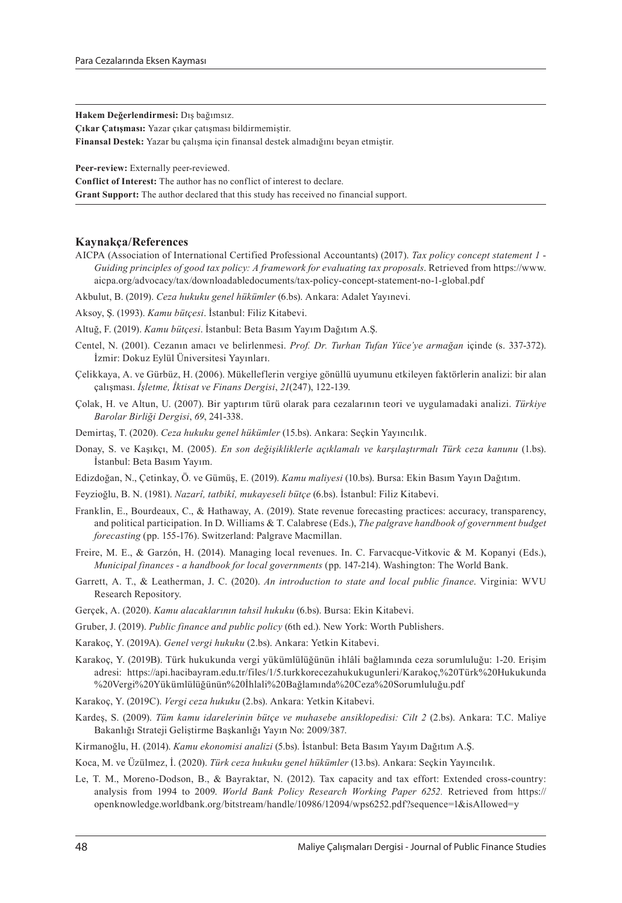**Hakem Değerlendirmesi:** Dış bağımsız.

**Çıkar Çatışması:** Yazar çıkar çatışması bildirmemiştir.

**Finansal Destek:** Yazar bu çalışma için finansal destek almadığını beyan etmiştir.

**Peer-review:** Externally peer-reviewed.

**Conflict of Interest:** The author has no conflict of interest to declare.

**Grant Support:** The author declared that this study has received no financial support.

#### **Kaynakça/References**

AICPA (Association of International Certified Professional Accountants) (2017). *Tax policy concept statement 1* - *Guiding principles of good tax policy: A framework for evaluating tax proposals.* Retrieved from https://www. aicpa.org/advocacy/tax/downloadabledocuments/tax-policy-concept-statement-no-1-global.pdf

Akbulut, B. (2019). *Ceza hukuku genel hükümler* (6.bs). Ankara: Adalet Yayınevi.

Aksoy, Ş. (1993). *Kamu bütçesi*. İstanbul: Filiz Kitabevi.

- Altuğ, F. (2019). *Kamu bütçesi*. İstanbul: Beta Basım Yayım Dağıtım A.Ş.
- Centel, N. (2001). Cezanın amacı ve belirlenmesi. *Prof. Dr. Turhan Tufan Yüce'ye armağan* içinde (s. 337-372). İzmir: Dokuz Eylül Üniversitesi Yayınları.
- Çelikkaya, A. ve Gürbüz, H. (2006). Mükelleflerin vergiye gönüllü uyumunu etkileyen faktörlerin analizi: bir alan çalışması. *İşletme, İktisat ve Finans Dergisi*, *21*(247), 122-139.
- Çolak, H. ve Altun, U. (2007). Bir yaptırım türü olarak para cezalarının teori ve uygulamadaki analizi. *Türkiye Barolar Birliği Dergisi*, *69*, 241-338.
- Demirtaş, T. (2020). *Ceza hukuku genel hükümler* (15.bs). Ankara: Seçkin Yayıncılık.
- Donay, S. ve Kaşıkçı, M. (2005). *En son değişikliklerle açıklamalı ve karşılaştırmalı Türk ceza kanunu* (1.bs). İstanbul: Beta Basım Yayım.
- Edizdoğan, N., Çetinkay, Ö. ve Gümüş, E. (2019). *Kamu maliyesi* (10.bs). Bursa: Ekin Basım Yayın Dağıtım.
- Feyzioğlu, B. N. (1981). *Nazarî, tatbikî, mukayeseli bütçe* (6.bs). İstanbul: Filiz Kitabevi.
- Franklin, E., Bourdeaux, C., & Hathaway, A. (2019). State revenue forecasting practices: accuracy, transparency, and political participation. In D. Williams & T. Calabrese (Eds.), *The palgrave handbook of government budget forecasting* (pp. 155-176). Switzerland: Palgrave Macmillan.
- Freire, M. E., & Garzón, H. (2014). Managing local revenues. In. C. Farvacque-Vitkovic & M. Kopanyi (Eds.), *Municipal finances - a handbook for local governments* (pp. 147-214). Washington: The World Bank.
- Garrett, A. T., & Leatherman, J. C. (2020). *An introduction to state and local public finance*. Virginia: WVU Research Repository.
- Gerçek, A. (2020). *Kamu alacaklarının tahsil hukuku* (6.bs). Bursa: Ekin Kitabevi.
- Gruber, J. (2019). *Public finance and public policy* (6th ed.). New York: Worth Publishers.
- Karakoç, Y. (2019A). *Genel vergi hukuku* (2.bs). Ankara: Yetkin Kitabevi.
- Karakoç, Y. (2019B). Türk hukukunda vergi̇ yükümlülüğünün ı̇ hlâlı̇ bağlamında ceza sorumluluğu: 1-20. Erişim adresi: https://api.hacibayram.edu.tr/files/1/5.turkkorecezahukukugunleri/Karakoç,%20Türk%20Hukukunda %20Vergi%20Yükümlülüğünün%20İhlali%20Bağlamında%20Ceza%20Sorumluluğu.pdf
- Karakoç, Y. (2019C). *Vergi ceza hukuku* (2.bs). Ankara: Yetkin Kitabevi.
- Kardeş, S. (2009). *Tüm kamu idarelerinin bütçe ve muhasebe ansiklopedisi: Cilt 2* (2.bs). Ankara: T.C. Maliye Bakanlığı Strateji Geliştirme Başkanlığı Yayın No: 2009/387.
- Kirmanoğlu, H. (2014). *Kamu ekonomisi analizi* (5.bs). İstanbul: Beta Basım Yayım Dağıtım A.Ş.

Koca, M. ve Üzülmez, İ. (2020). *Türk ceza hukuku genel hükümler* (13.bs). Ankara: Seçkin Yayıncılık.

Le, T. M., Moreno-Dodson, B., & Bayraktar, N. (2012). Tax capacity and tax effort: Extended cross-country: analysis from 1994 to 2009. *World Bank Policy Research Working Paper 6252.* Retrieved from https:// openknowledge.worldbank.org/bitstream/handle/10986/12094/wps6252.pdf?sequence=1&isAllowed=y